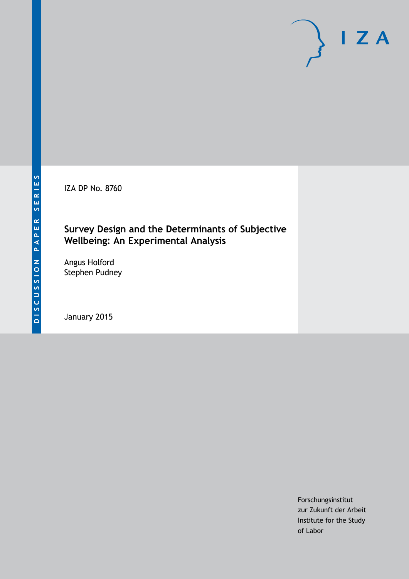IZA DP No. 8760

### **Survey Design and the Determinants of Subjective Wellbeing: An Experimental Analysis**

Angus Holford Stephen Pudney

January 2015

Forschungsinstitut zur Zukunft der Arbeit Institute for the Study of Labor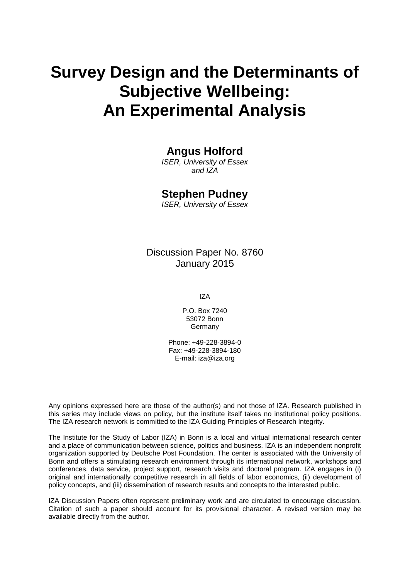# **Survey Design and the Determinants of Subjective Wellbeing: An Experimental Analysis**

### **Angus Holford**

*ISER, University of Essex and IZA*

#### **Stephen Pudney**

*ISER, University of Essex*

Discussion Paper No. 8760 January 2015

IZA

P.O. Box 7240 53072 Bonn **Germany** 

Phone: +49-228-3894-0 Fax: +49-228-3894-180 E-mail: [iza@iza.org](mailto:iza@iza.org)

Any opinions expressed here are those of the author(s) and not those of IZA. Research published in this series may include views on policy, but the institute itself takes no institutional policy positions. The IZA research network is committed to the IZA Guiding Principles of Research Integrity.

The Institute for the Study of Labor (IZA) in Bonn is a local and virtual international research center and a place of communication between science, politics and business. IZA is an independent nonprofit organization supported by Deutsche Post Foundation. The center is associated with the University of Bonn and offers a stimulating research environment through its international network, workshops and conferences, data service, project support, research visits and doctoral program. IZA engages in (i) original and internationally competitive research in all fields of labor economics, (ii) development of policy concepts, and (iii) dissemination of research results and concepts to the interested public.

<span id="page-1-0"></span>IZA Discussion Papers often represent preliminary work and are circulated to encourage discussion. Citation of such a paper should account for its provisional character. A revised version may be available directly from the author.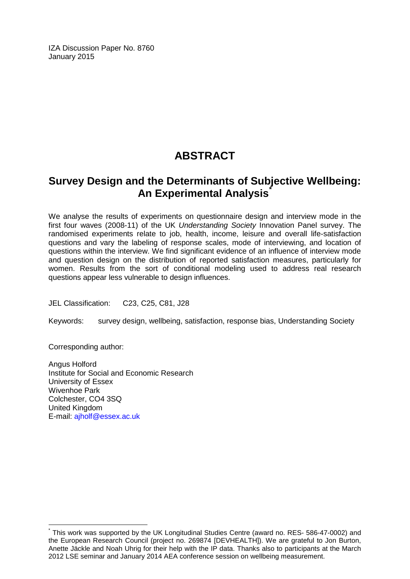IZA Discussion Paper No. 8760 January 2015

## **ABSTRACT**

### **Survey Design and the Determinants of Subjective Wellbeing: An Experimental Analysis[\\*](#page-1-0)**

We analyse the results of experiments on questionnaire design and interview mode in the first four waves (2008-11) of the UK *Understanding Society* Innovation Panel survey. The randomised experiments relate to job, health, income, leisure and overall life-satisfaction questions and vary the labeling of response scales, mode of interviewing, and location of questions within the interview. We find significant evidence of an influence of interview mode and question design on the distribution of reported satisfaction measures, particularly for women. Results from the sort of conditional modeling used to address real research questions appear less vulnerable to design influences.

JEL Classification: C23, C25, C81, J28

Keywords: survey design, wellbeing, satisfaction, response bias, Understanding Society

Corresponding author:

Angus Holford Institute for Social and Economic Research University of Essex Wivenhoe Park Colchester, CO4 3SQ United Kingdom E-mail: [ajholf@essex.ac.uk](mailto:ajholf@essex.ac.uk)

This work was supported by the UK Longitudinal Studies Centre (award no. RES- 586-47-0002) and the European Research Council (project no. 269874 [DEVHEALTH]). We are grateful to Jon Burton, Anette Jäckle and Noah Uhrig for their help with the IP data. Thanks also to participants at the March 2012 LSE seminar and January 2014 AEA conference session on wellbeing measurement.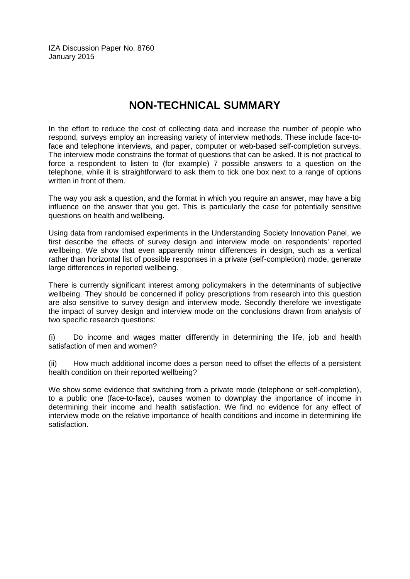IZA Discussion Paper No. 8760 January 2015

### **NON-TECHNICAL SUMMARY**

In the effort to reduce the cost of collecting data and increase the number of people who respond, surveys employ an increasing variety of interview methods. These include face-toface and telephone interviews, and paper, computer or web-based self-completion surveys. The interview mode constrains the format of questions that can be asked. It is not practical to force a respondent to listen to (for example) 7 possible answers to a question on the telephone, while it is straightforward to ask them to tick one box next to a range of options written in front of them.

The way you ask a question, and the format in which you require an answer, may have a big influence on the answer that you get. This is particularly the case for potentially sensitive questions on health and wellbeing.

Using data from randomised experiments in the Understanding Society Innovation Panel, we first describe the effects of survey design and interview mode on respondents' reported wellbeing. We show that even apparently minor differences in design, such as a vertical rather than horizontal list of possible responses in a private (self-completion) mode, generate large differences in reported wellbeing.

There is currently significant interest among policymakers in the determinants of subjective wellbeing. They should be concerned if policy prescriptions from research into this question are also sensitive to survey design and interview mode. Secondly therefore we investigate the impact of survey design and interview mode on the conclusions drawn from analysis of two specific research questions:

(i) Do income and wages matter differently in determining the life, job and health satisfaction of men and women?

(ii) How much additional income does a person need to offset the effects of a persistent health condition on their reported wellbeing?

We show some evidence that switching from a private mode (telephone or self-completion), to a public one (face-to-face), causes women to downplay the importance of income in determining their income and health satisfaction. We find no evidence for any effect of interview mode on the relative importance of health conditions and income in determining life satisfaction.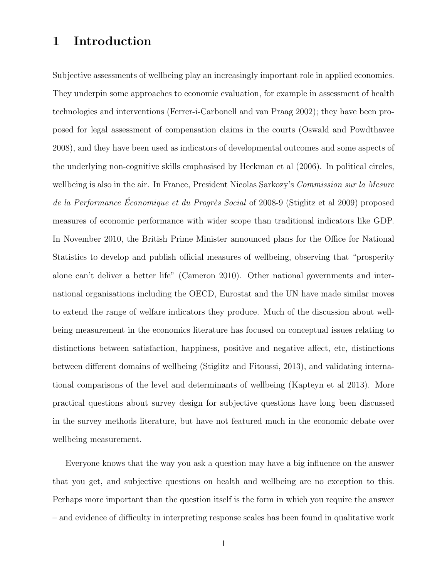#### 1 Introduction

Subjective assessments of wellbeing play an increasingly important role in applied economics. They underpin some approaches to economic evaluation, for example in assessment of health technologies and interventions (Ferrer-i-Carbonell and van Praag 2002); they have been proposed for legal assessment of compensation claims in the courts (Oswald and Powdthavee 2008), and they have been used as indicators of developmental outcomes and some aspects of the underlying non-cognitive skills emphasised by Heckman et al (2006). In political circles, wellbeing is also in the air. In France, President Nicolas Sarkozy's Commission sur la Mesure de la Performance Économique et du Progrès Social of 2008-9 (Stiglitz et al 2009) proposed measures of economic performance with wider scope than traditional indicators like GDP. In November 2010, the British Prime Minister announced plans for the Office for National Statistics to develop and publish official measures of wellbeing, observing that "prosperity alone can't deliver a better life" (Cameron 2010). Other national governments and international organisations including the OECD, Eurostat and the UN have made similar moves to extend the range of welfare indicators they produce. Much of the discussion about wellbeing measurement in the economics literature has focused on conceptual issues relating to distinctions between satisfaction, happiness, positive and negative affect, etc, distinctions between different domains of wellbeing (Stiglitz and Fitoussi, 2013), and validating international comparisons of the level and determinants of wellbeing (Kapteyn et al 2013). More practical questions about survey design for subjective questions have long been discussed in the survey methods literature, but have not featured much in the economic debate over wellbeing measurement.

Everyone knows that the way you ask a question may have a big influence on the answer that you get, and subjective questions on health and wellbeing are no exception to this. Perhaps more important than the question itself is the form in which you require the answer – and evidence of difficulty in interpreting response scales has been found in qualitative work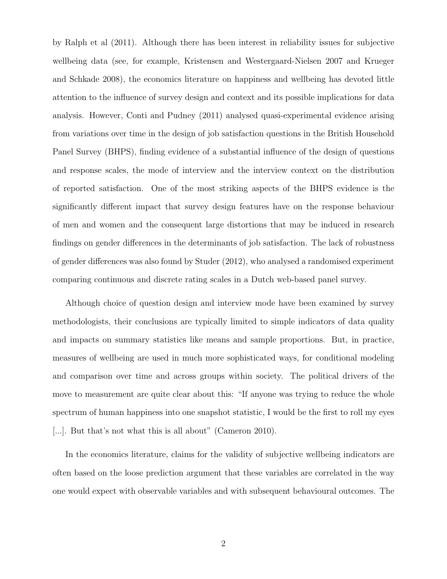by Ralph et al (2011). Although there has been interest in reliability issues for subjective wellbeing data (see, for example, Kristensen and Westergaard-Nielsen 2007 and Krueger and Schkade 2008), the economics literature on happiness and wellbeing has devoted little attention to the influence of survey design and context and its possible implications for data analysis. However, Conti and Pudney (2011) analysed quasi-experimental evidence arising from variations over time in the design of job satisfaction questions in the British Household Panel Survey (BHPS), finding evidence of a substantial influence of the design of questions and response scales, the mode of interview and the interview context on the distribution of reported satisfaction. One of the most striking aspects of the BHPS evidence is the significantly different impact that survey design features have on the response behaviour of men and women and the consequent large distortions that may be induced in research findings on gender differences in the determinants of job satisfaction. The lack of robustness of gender differences was also found by Studer (2012), who analysed a randomised experiment comparing continuous and discrete rating scales in a Dutch web-based panel survey.

Although choice of question design and interview mode have been examined by survey methodologists, their conclusions are typically limited to simple indicators of data quality and impacts on summary statistics like means and sample proportions. But, in practice, measures of wellbeing are used in much more sophisticated ways, for conditional modeling and comparison over time and across groups within society. The political drivers of the move to measurement are quite clear about this: "If anyone was trying to reduce the whole spectrum of human happiness into one snapshot statistic, I would be the first to roll my eyes [...]. But that's not what this is all about" (Cameron 2010).

In the economics literature, claims for the validity of subjective wellbeing indicators are often based on the loose prediction argument that these variables are correlated in the way one would expect with observable variables and with subsequent behavioural outcomes. The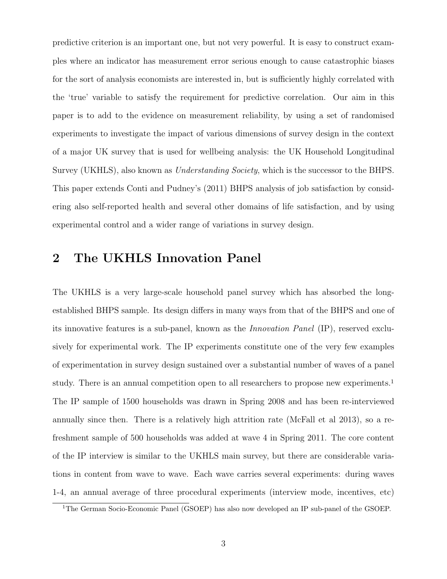predictive criterion is an important one, but not very powerful. It is easy to construct examples where an indicator has measurement error serious enough to cause catastrophic biases for the sort of analysis economists are interested in, but is sufficiently highly correlated with the 'true' variable to satisfy the requirement for predictive correlation. Our aim in this paper is to add to the evidence on measurement reliability, by using a set of randomised experiments to investigate the impact of various dimensions of survey design in the context of a major UK survey that is used for wellbeing analysis: the UK Household Longitudinal Survey (UKHLS), also known as *Understanding Society*, which is the successor to the BHPS. This paper extends Conti and Pudney's (2011) BHPS analysis of job satisfaction by considering also self-reported health and several other domains of life satisfaction, and by using experimental control and a wider range of variations in survey design.

### 2 The UKHLS Innovation Panel

The UKHLS is a very large-scale household panel survey which has absorbed the longestablished BHPS sample. Its design differs in many ways from that of the BHPS and one of its innovative features is a sub-panel, known as the Innovation Panel (IP), reserved exclusively for experimental work. The IP experiments constitute one of the very few examples of experimentation in survey design sustained over a substantial number of waves of a panel study. There is an annual competition open to all researchers to propose new experiments.<sup>1</sup> The IP sample of 1500 households was drawn in Spring 2008 and has been re-interviewed annually since then. There is a relatively high attrition rate (McFall et al 2013), so a refreshment sample of 500 households was added at wave 4 in Spring 2011. The core content of the IP interview is similar to the UKHLS main survey, but there are considerable variations in content from wave to wave. Each wave carries several experiments: during waves 1-4, an annual average of three procedural experiments (interview mode, incentives, etc)

<sup>&</sup>lt;sup>1</sup>The German Socio-Economic Panel (GSOEP) has also now developed an IP sub-panel of the GSOEP.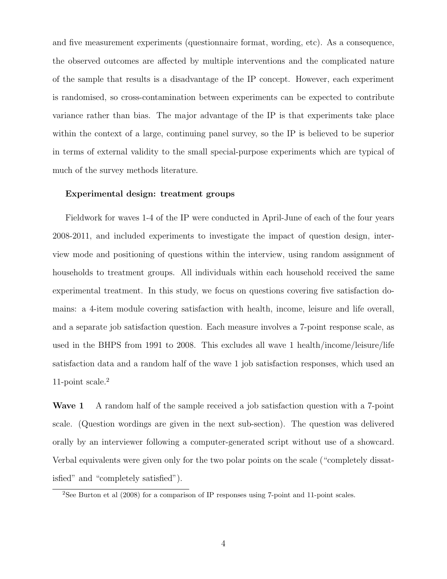and five measurement experiments (questionnaire format, wording, etc). As a consequence, the observed outcomes are affected by multiple interventions and the complicated nature of the sample that results is a disadvantage of the IP concept. However, each experiment is randomised, so cross-contamination between experiments can be expected to contribute variance rather than bias. The major advantage of the IP is that experiments take place within the context of a large, continuing panel survey, so the IP is believed to be superior in terms of external validity to the small special-purpose experiments which are typical of much of the survey methods literature.

#### Experimental design: treatment groups

Fieldwork for waves 1-4 of the IP were conducted in April-June of each of the four years 2008-2011, and included experiments to investigate the impact of question design, interview mode and positioning of questions within the interview, using random assignment of households to treatment groups. All individuals within each household received the same experimental treatment. In this study, we focus on questions covering five satisfaction domains: a 4-item module covering satisfaction with health, income, leisure and life overall, and a separate job satisfaction question. Each measure involves a 7-point response scale, as used in the BHPS from 1991 to 2008. This excludes all wave 1 health/income/leisure/life satisfaction data and a random half of the wave 1 job satisfaction responses, which used an 11-point scale.<sup>2</sup>

Wave 1 A random half of the sample received a job satisfaction question with a 7-point scale. (Question wordings are given in the next sub-section). The question was delivered orally by an interviewer following a computer-generated script without use of a showcard. Verbal equivalents were given only for the two polar points on the scale ("completely dissatisfied" and "completely satisfied").

<sup>2</sup>See Burton et al (2008) for a comparison of IP responses using 7-point and 11-point scales.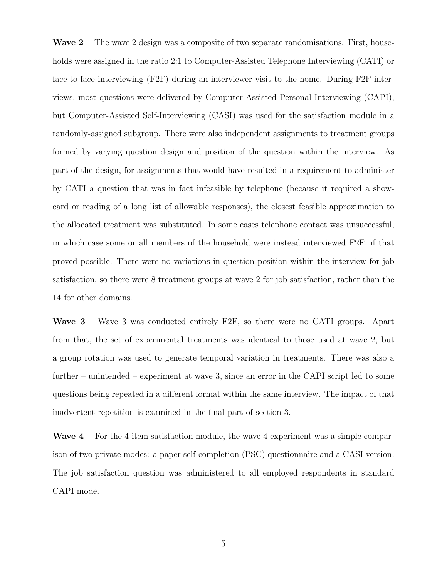Wave 2 The wave 2 design was a composite of two separate randomisations. First, households were assigned in the ratio 2:1 to Computer-Assisted Telephone Interviewing (CATI) or face-to-face interviewing (F2F) during an interviewer visit to the home. During F2F interviews, most questions were delivered by Computer-Assisted Personal Interviewing (CAPI), but Computer-Assisted Self-Interviewing (CASI) was used for the satisfaction module in a randomly-assigned subgroup. There were also independent assignments to treatment groups formed by varying question design and position of the question within the interview. As part of the design, for assignments that would have resulted in a requirement to administer by CATI a question that was in fact infeasible by telephone (because it required a showcard or reading of a long list of allowable responses), the closest feasible approximation to the allocated treatment was substituted. In some cases telephone contact was unsuccessful, in which case some or all members of the household were instead interviewed F2F, if that proved possible. There were no variations in question position within the interview for job satisfaction, so there were 8 treatment groups at wave 2 for job satisfaction, rather than the 14 for other domains.

Wave 3 Wave 3 was conducted entirely F2F, so there were no CATI groups. Apart from that, the set of experimental treatments was identical to those used at wave 2, but a group rotation was used to generate temporal variation in treatments. There was also a further – unintended – experiment at wave 3, since an error in the CAPI script led to some questions being repeated in a different format within the same interview. The impact of that inadvertent repetition is examined in the final part of section 3.

Wave 4 For the 4-item satisfaction module, the wave 4 experiment was a simple comparison of two private modes: a paper self-completion (PSC) questionnaire and a CASI version. The job satisfaction question was administered to all employed respondents in standard CAPI mode.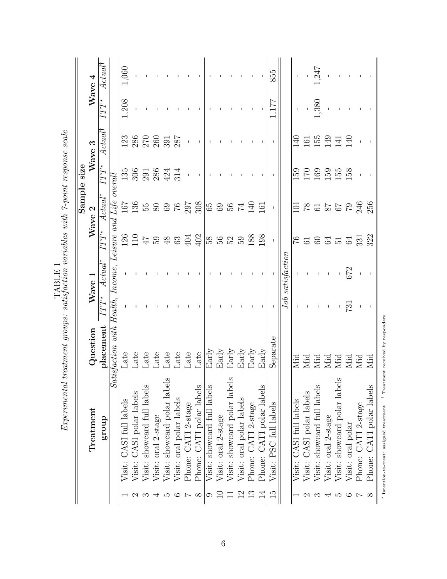|                |                                                                                          |                                              |                 |                                |                                                                                                                                 | Sample             | size                              |                    |               |                    |
|----------------|------------------------------------------------------------------------------------------|----------------------------------------------|-----------------|--------------------------------|---------------------------------------------------------------------------------------------------------------------------------|--------------------|-----------------------------------|--------------------|---------------|--------------------|
|                | Treatment                                                                                | Question                                     |                 | Wave 1                         |                                                                                                                                 | Wave 2             |                                   | Wave 3             |               | Wave $4$           |
|                | group                                                                                    | placement                                    | $lTT^*$         | $Actu\overline{a\overline{t}}$ | $IT\overline{T^*}$                                                                                                              | $Actual^{\dagger}$ | $IT\overline{T^*}$                | $Actual^{\dagger}$ | $ITT^{\star}$ | $Actual^{\dagger}$ |
|                | J)                                                                                       | atisfaction with                             | Health, Income, |                                | Leisure and                                                                                                                     | $Life$ overall     |                                   |                    |               |                    |
|                | Visit: CASI full labels                                                                  | Late                                         |                 |                                |                                                                                                                                 |                    |                                   | 123                | 1,208         | 1,060              |
|                | Visit: CASI polar labels                                                                 | Late                                         |                 |                                |                                                                                                                                 | 167<br>136         |                                   |                    |               |                    |
| ొ              | Visit: showcard full labels                                                              | Late                                         |                 |                                |                                                                                                                                 |                    | 135<br>306<br>2023<br>4214<br>314 | 286<br>270<br>260  |               |                    |
| ↽              | Visit: oral 2-stage                                                                      | Late                                         |                 |                                |                                                                                                                                 |                    |                                   |                    |               |                    |
| LO 1           | Visit: showcard polar labels                                                             | Late                                         |                 |                                |                                                                                                                                 |                    |                                   | 391                |               |                    |
| అ              | Visit: oral polar labels                                                                 | Late                                         |                 |                                |                                                                                                                                 |                    |                                   | 287                |               |                    |
| $\overline{a}$ | Phone: CATI 2-stage                                                                      | Late                                         |                 |                                |                                                                                                                                 |                    | $\mathbf I$                       |                    |               |                    |
| $\infty$       | Phone: CATI polar labels                                                                 | Late                                         |                 |                                | $\frac{18}{12}$ $\frac{1}{4}$ $\frac{1}{5}$ $\frac{1}{8}$ $\frac{4}{9}$ $\frac{3}{8}$ $\frac{4}{9}$ $\frac{3}{4}$ $\frac{4}{9}$ | $3.888888888877$   |                                   |                    |               |                    |
| ာ              | Visit: showcard full labels                                                              | $_{\rm{Early}}$                              |                 |                                | 3833                                                                                                                            |                    |                                   |                    |               |                    |
|                | Visit: oral 2-stage                                                                      | $_{\rm{Early}}$                              |                 |                                |                                                                                                                                 |                    |                                   |                    |               |                    |
|                | Visit: showcard polar labels                                                             | $_{\rm{Early}}$                              |                 |                                |                                                                                                                                 |                    |                                   |                    |               |                    |
| $\overline{2}$ | Visit: oral polar labels                                                                 | $_{\rm{Early}}$                              |                 |                                |                                                                                                                                 |                    |                                   |                    |               |                    |
| $\frac{3}{1}$  | Phone: CATI 2-stage                                                                      | Early                                        |                 |                                | 188                                                                                                                             |                    |                                   |                    |               |                    |
| $\overline{1}$ | Phone: CATI polar labels                                                                 | $_{\rm{Early}}$                              |                 |                                | 198                                                                                                                             | 161                |                                   |                    |               |                    |
| $\frac{1}{5}$  | Visit: PSC full labels                                                                   | Separate                                     | п.              | $\mathbf{I}$                   | $\vert \bot \vert$                                                                                                              | - 11 - 11          |                                   |                    | 177           | 855                |
|                |                                                                                          |                                              | Job             | satisfactor                    |                                                                                                                                 |                    |                                   |                    |               |                    |
|                | Visit: CASI full labels                                                                  |                                              |                 |                                |                                                                                                                                 |                    | 159                               | $\Xi$              |               |                    |
|                | Visit: CASI polar labels                                                                 |                                              |                 |                                |                                                                                                                                 |                    |                                   | 161                |               |                    |
| ಌ              | Visit: showcard full labels                                                              |                                              |                 |                                |                                                                                                                                 |                    |                                   | 155                | 380           | 247                |
|                | Visit: oral 2-stage                                                                      |                                              |                 |                                |                                                                                                                                 |                    | 170<br>169<br>155                 | 149                |               |                    |
| 4 ro           | Visit: showcard polar labels                                                             |                                              |                 |                                |                                                                                                                                 |                    |                                   | $\frac{14}{140}$   |               |                    |
| అ              | Visit: oral polar                                                                        | Mid<br>Mid did did did<br>Mid Mid did<br>Mid | 731             | 672                            | 568372                                                                                                                          | 2252325            | 158                               |                    |               |                    |
| $\overline{a}$ | Phone: CATI 2-stage                                                                      |                                              |                 |                                |                                                                                                                                 |                    |                                   |                    |               |                    |
| $\infty$       | Phone: CATI polar labels                                                                 |                                              |                 |                                |                                                                                                                                 |                    |                                   |                    |               |                    |
|                | $^\star$ Intention-to-treat: assigned treatment $^{-1}$ Treatment received by responders |                                              |                 |                                |                                                                                                                                 |                    |                                   |                    |               |                    |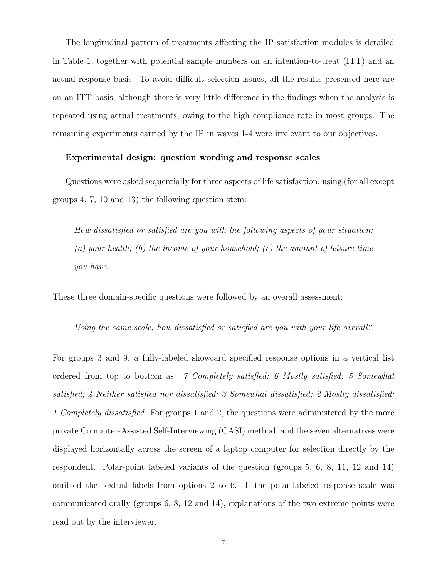The longitudinal pattern of treatments affecting the IP satisfaction modules is detailed in Table 1, together with potential sample numbers on an intention-to-treat (ITT) and an actual response basis. To avoid difficult selection issues, all the results presented here are on an ITT basis, although there is very little difference in the findings when the analysis is repeated using actual treatments, owing to the high compliance rate in most groups. The remaining experiments carried by the IP in waves 1-4 were irrelevant to our objectives.

#### Experimental design: question wording and response scales

Questions were asked sequentially for three aspects of life satisfaction, using (for all except groups 4, 7, 10 and 13) the following question stem:

How dissatisfied or satisfied are you with the following aspects of your situation: (a) your health; (b) the income of your household; (c) the amount of leisure time you have.

These three domain-specific questions were followed by an overall assessment:

Using the same scale, how dissatisfied or satisfied are you with your life overall?

For groups 3 and 9, a fully-labeled showcard specified response options in a vertical list ordered from top to bottom as: 7 Completely satisfied; 6 Mostly satisfied; 5 Somewhat satisfied; 4 Neither satisfied nor dissatisfied; 3 Somewhat dissatisfied; 2 Mostly dissatisfied; 1 Completely dissatisfied. For groups 1 and 2, the questions were administered by the more private Computer-Assisted Self-Interviewing (CASI) method, and the seven alternatives were displayed horizontally across the screen of a laptop computer for selection directly by the respondent. Polar-point labeled variants of the question (groups 5, 6, 8, 11, 12 and 14) omitted the textual labels from options 2 to 6. If the polar-labeled response scale was communicated orally (groups 6, 8, 12 and 14), explanations of the two extreme points were read out by the interviewer.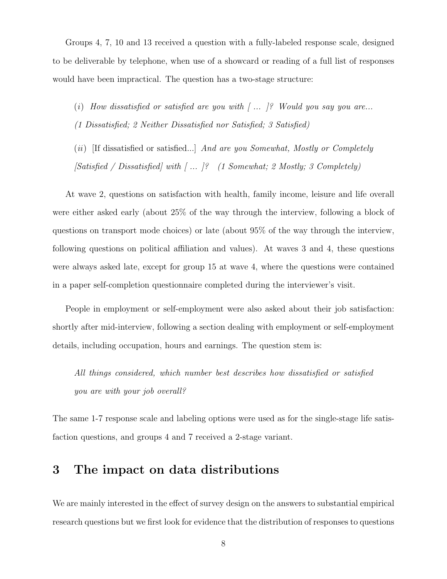Groups 4, 7, 10 and 13 received a question with a fully-labeled response scale, designed to be deliverable by telephone, when use of a showcard or reading of a full list of responses would have been impractical. The question has a two-stage structure:

- (i) How dissatisfied or satisfied are you with  $[$  ...  $]$ ? Would you say you are... (1 Dissatisfied; 2 Neither Dissatisfied nor Satisfied; 3 Satisfied)
- (ii) If dissatisfied or satisfied...] And are you Somewhat, Mostly or Completely [Satisfied / Dissatisfied] with [ ... ]? (1 Somewhat; 2 Mostly; 3 Completely)

At wave 2, questions on satisfaction with health, family income, leisure and life overall were either asked early (about 25% of the way through the interview, following a block of questions on transport mode choices) or late (about 95% of the way through the interview, following questions on political affiliation and values). At waves 3 and 4, these questions were always asked late, except for group 15 at wave 4, where the questions were contained in a paper self-completion questionnaire completed during the interviewer's visit.

People in employment or self-employment were also asked about their job satisfaction: shortly after mid-interview, following a section dealing with employment or self-employment details, including occupation, hours and earnings. The question stem is:

All things considered, which number best describes how dissatisfied or satisfied you are with your job overall?

The same 1-7 response scale and labeling options were used as for the single-stage life satisfaction questions, and groups 4 and 7 received a 2-stage variant.

### 3 The impact on data distributions

We are mainly interested in the effect of survey design on the answers to substantial empirical research questions but we first look for evidence that the distribution of responses to questions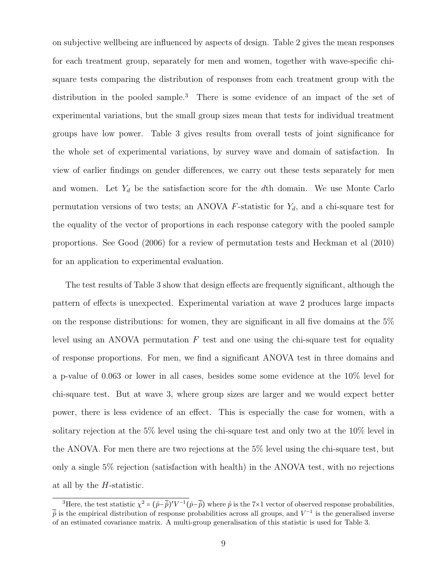on subjective wellbeing are influenced by aspects of design. Table 2 gives the mean responses for each treatment group, separately for men and women, together with wave-specific chisquare tests comparing the distribution of responses from each treatment group with the distribution in the pooled sample.<sup>3</sup> There is some evidence of an impact of the set of experimental variations, but the small group sizes mean that tests for individual treatment groups have low power. Table 3 gives results from overall tests of joint significance for the whole set of experimental variations, by survey wave and domain of satisfaction. In view of earlier findings on gender differences, we carry out these tests separately for men and women. Let  $Y_d$  be the satisfaction score for the dth domain. We use Monte Carlo permutation versions of two tests; an ANOVA  $F$ -statistic for  $Y_d$ , and a chi-square test for the equality of the vector of proportions in each response category with the pooled sample proportions. See Good (2006) for a review of permutation tests and Heckman et al (2010) for an application to experimental evaluation.

The test results of Table 3 show that design effects are frequently significant, although the pattern of effects is unexpected. Experimental variation at wave 2 produces large impacts on the response distributions: for women, they are significant in all five domains at the 5% level using an ANOVA permutation  $F$  test and one using the chi-square test for equality of response proportions. For men, we find a significant ANOVA test in three domains and a p-value of 0.063 or lower in all cases, besides some some evidence at the 10% level for chi-square test. But at wave 3, where group sizes are larger and we would expect better power, there is less evidence of an effect. This is especially the case for women, with a solitary rejection at the 5% level using the chi-square test and only two at the 10% level in the ANOVA. For men there are two rejections at the 5% level using the chi-square test, but only a single 5% rejection (satisfaction with health) in the ANOVA test, with no rejections at all by the H-statistic.

<sup>&</sup>lt;sup>3</sup>Here, the test statistic  $\chi^2 = (\hat{p} - \bar{\hat{p}})'V^{-1}(\hat{p} - \bar{\hat{p}})$  where  $\hat{p}$  is the 7×1 vector of observed response probabilities,  $\bar{p}$  is the empirical distribution of response probabilities across all groups, and  $V^{-1}$  is the generalised inverse of an estimated covariance matrix. A multi-group generalisation of this statistic is used for Table 3.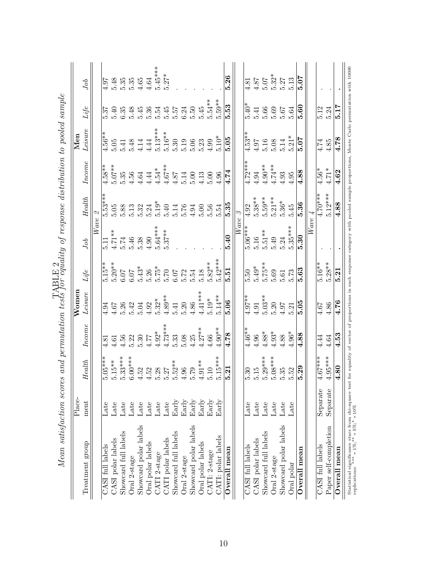| $\begin{array}{l} 5.48 \\ 5.35 \\ 5.35 \\ 5.46 \\ 4.64 \\ 5.47 \\ 6.47 \\ 7.49 \\ 8.27 \\ \end{array}$<br>$4.81$<br>$4.87$<br>$4.507$<br>$5.327$<br>$5.13$<br>$5.07$<br>4.97<br>Job<br>ង់<br>មិដ្ឋ ១ ១ ៤ ៥<br>ស្គត់ស្គត់ស្គ<br>5.53<br>ZE.<br>5.12<br>5.24<br>$\frac{60}{60}$<br>$\mathit{Life}$<br>$Leisure% \begin{tabular}{cc} \includegraphics[width=0.9\columnwidth]{figures/cdf} & \includegraphics[width=0.9\columnwidth]{figures/cdf} \end{tabular} \caption{The 3D (black) model for the 3D (black) model. The 3D (black) model is a 3D (black) model. The 3D (black) model is a 3D (black) model.} \label{fig:cdf}$<br>$4.56*$<br>$4.53*$<br>$4.97$<br>$4.508$<br>$5.21*$<br>$5.07$<br>$5.07$<br>4.78<br>$rac{6}{5}$<br>$\frac{4.74}{4.85}$<br>Income<br>$\frac{4.72}{4.94}$<br>$\frac{4.94}{4.96}$<br>$\frac{4.94}{4.93}$<br>$\frac{4.93}{4.88}$<br>$\begin{array}{l} 4.58**\\ 4.507**\\ 5.07*\\ 5.95\\ 6.496\\ 4.4444\\ 4.567\\ 4.67\\ 5.87\\ 4.67\\ 5.07\\ 4.74\\ 5.08\\ 4.74\\ 5.09\\ 4.74\\ 4.74\\ 5.09\\ 4.74\\ 4.74\\ \end{array}$<br>$\frac{4.56*}{4.71*}$<br>$\sqrt{4.62}$<br>$4.70***$<br>5.12***<br>$\frac{Health}{ }$<br>$\begin{array}{l} \bar{\mathfrak{p}}^*\\ \bar{\mathfrak{p}}^*\\ \bar{\mathfrak{p}}^*\\ \bar{\mathfrak{p}}^*\\ \bar{\mathfrak{p}}^*\\ \bar{\mathfrak{p}}^*\\ \bar{\mathfrak{p}}^*\\ \bar{\mathfrak{p}}^*\\ \bar{\mathfrak{p}}^*\\ \bar{\mathfrak{p}}^*\\ \bar{\mathfrak{p}}^*\\ \bar{\mathfrak{p}}^*\\ \bar{\mathfrak{p}}^*\\ \bar{\mathfrak{p}}^*\\ \bar{\mathfrak{p}}^*\\ \bar{\mathfrak{p}}^*\\ \bar{\mathfrak{p}}^*\\ \bar{\mathfrak{p}}$<br>$\begin{array}{l} 5.38** \ 5.59** \ 5.51** \ 5.21** \ 5.36* \ 5.36* \end{array}$<br>5.36<br>$\frac{4.88}{ }$<br>5.35<br>4.92<br>Wave<br>$5.35***$<br>$5.06***$<br>$5.11$<br>$4.71**$<br>$5.74$<br>$5.38$<br>$4.64***$<br>$4.64***$<br>$5.64***$<br>$5.16$<br>$5.51**$<br>$5.49$<br>$5.24$<br>5.40<br>$\overline{5.30}$<br>Job<br>$\begin{array}{l} 1.15**\\ 5.20**\\ 6.075\\ 6.617\\ 7.720\\ 8.720\\ 9.720\\ 1.720\\ 1.720\\ 1.720\\ 1.720\\ 1.720\\ 1.720\\ 1.720\\ 1.720\\ 1.720\\ 1.720\\ 1.720\\ 1.720\\ 1.720\\ 1.720\\ 1.720\\ 1.720\\ 1.720\\ 1.720\\ 1.720\\ 1.720\\ 1.720\\ 1.720\\ 1.720\\ 1.$<br>$\frac{5.16**}{5.28**}$<br>5.63<br>$\mathit{Life}$<br>5.21<br>Leisure<br>$\frac{4.97}{4.91}$<br>$\frac{4.91}{5.03}$<br>$\frac{5.20}{4.37}$<br>$\frac{5.21}{5.05}$<br>$\frac{6}{15}$<br>$\frac{4.86}{4.76}$<br>Income<br>$\frac{4.46}{4.96}$<br>$\begin{array}{l} 4.88* \\ 4.93* \\ 4.88 \\ \hline 4.96* \\ \hline 4.96* \\ \end{array}$<br>$\frac{4.78}{ }$<br>4.53<br>4.44<br>$4.64\,$<br>$4.95***$<br>$5.15$<br>$5.29***$<br>$5.08***$<br>$\begin{array}{l} 1.5**\\ 1.5**\\ 5.33**\\ 6.00**\\ 7.500**\\ 8.500**\\ 9.5000**\\ 1.50000*\\ 1.50000*\\ 1.50000*\\ 1.50000*\\ 1.50000*\\ 1.50000*\\ 1.50000*\\ 1.50000*\\ 1.50000*\\ 1.50000*\\ 1.50000*\\ 1.50000*\\ 1.50000*\\ 1.50000*\\ 1.50000*\\ 1.50000*\\ 1$<br>$5.05***$<br>$4.67***$<br>$\frac{Health}{ }$<br>$\overline{4.80}$<br>5.29<br>$\frac{5.21}{ }$<br>$5.35\,$<br>5.52<br>5.30<br>Separate<br>${\bf Separate}$<br>Early<br>Early<br>$_{\rm{Early}}$<br>Early<br>Early<br>$\rm{Early}$<br>ment<br>Late<br>Late<br>Late<br>Late<br>Late<br>Late<br>Late<br>$\operatorname{Late}$<br>Late<br>Late<br>Late<br>Late<br>Late<br>Late<br>Showcard polar labels<br>Showcard polar labels<br>Showcard polar labels<br>Paper self-completion<br>Showcard full labels<br>Showcard full labels<br>Showcard full labels<br>CATI: polar labels<br>CATI polar labels<br>CASI polar labels<br>CASI polar labels<br>Oral polar labels<br>Oral polar labels<br>Treatment group<br>CASI full labels<br>CASI full labels<br><b>CASI</b> full labels<br>Overall mean<br>Overall mean<br>$0$ verall mean<br>CATI: 2-stage<br>CATI 2-stage<br>Oral 2-stage<br>Oral 2-stage<br>Oral 2-stage<br>Oral polar | Place- |  | Womer |  |  | Men |      |
|--------------------------------------------------------------------------------------------------------------------------------------------------------------------------------------------------------------------------------------------------------------------------------------------------------------------------------------------------------------------------------------------------------------------------------------------------------------------------------------------------------------------------------------------------------------------------------------------------------------------------------------------------------------------------------------------------------------------------------------------------------------------------------------------------------------------------------------------------------------------------------------------------------------------------------------------------------------------------------------------------------------------------------------------------------------------------------------------------------------------------------------------------------------------------------------------------------------------------------------------------------------------------------------------------------------------------------------------------------------------------------------------------------------------------------------------------------------------------------------------------------------------------------------------------------------------------------------------------------------------------------------------------------------------------------------------------------------------------------------------------------------------------------------------------------------------------------------------------------------------------------------------------------------------------------------------------------------------------------------------------------------------------------------------------------------------------------------------------------------------------------------------------------------------------------------------------------------------------------------------------------------------------------------------------------------------------------------------------------------------------------------------------------------------------------------------------------------------------------------------------------------------------------------------------------------------------------------------------------------------------------------------------------------------------------------------------------------------------------------------------------------------------------------------------------------------------------------------------------------------------------------------------------------------------------------------------------------------------------------------------------------------------------------------------------------------------------------------------------------------------------------------------------------------------------------------------------------------------------------------------------------------------------------------------------------------------------------------------------------------------------------------------------------------------------------------------------------------------------------------------------------------------------------------------------------------------------------------------------------------------------------------------------------------------------------------------------------------------------------------------------------------------------------------------------------------------------------------------------------|--------|--|-------|--|--|-----|------|
|                                                                                                                                                                                                                                                                                                                                                                                                                                                                                                                                                                                                                                                                                                                                                                                                                                                                                                                                                                                                                                                                                                                                                                                                                                                                                                                                                                                                                                                                                                                                                                                                                                                                                                                                                                                                                                                                                                                                                                                                                                                                                                                                                                                                                                                                                                                                                                                                                                                                                                                                                                                                                                                                                                                                                                                                                                                                                                                                                                                                                                                                                                                                                                                                                                                                                                                                                                                                                                                                                                                                                                                                                                                                                                                                                                                                                                                              |        |  |       |  |  |     |      |
|                                                                                                                                                                                                                                                                                                                                                                                                                                                                                                                                                                                                                                                                                                                                                                                                                                                                                                                                                                                                                                                                                                                                                                                                                                                                                                                                                                                                                                                                                                                                                                                                                                                                                                                                                                                                                                                                                                                                                                                                                                                                                                                                                                                                                                                                                                                                                                                                                                                                                                                                                                                                                                                                                                                                                                                                                                                                                                                                                                                                                                                                                                                                                                                                                                                                                                                                                                                                                                                                                                                                                                                                                                                                                                                                                                                                                                                              |        |  |       |  |  |     |      |
|                                                                                                                                                                                                                                                                                                                                                                                                                                                                                                                                                                                                                                                                                                                                                                                                                                                                                                                                                                                                                                                                                                                                                                                                                                                                                                                                                                                                                                                                                                                                                                                                                                                                                                                                                                                                                                                                                                                                                                                                                                                                                                                                                                                                                                                                                                                                                                                                                                                                                                                                                                                                                                                                                                                                                                                                                                                                                                                                                                                                                                                                                                                                                                                                                                                                                                                                                                                                                                                                                                                                                                                                                                                                                                                                                                                                                                                              |        |  |       |  |  |     |      |
|                                                                                                                                                                                                                                                                                                                                                                                                                                                                                                                                                                                                                                                                                                                                                                                                                                                                                                                                                                                                                                                                                                                                                                                                                                                                                                                                                                                                                                                                                                                                                                                                                                                                                                                                                                                                                                                                                                                                                                                                                                                                                                                                                                                                                                                                                                                                                                                                                                                                                                                                                                                                                                                                                                                                                                                                                                                                                                                                                                                                                                                                                                                                                                                                                                                                                                                                                                                                                                                                                                                                                                                                                                                                                                                                                                                                                                                              |        |  |       |  |  |     |      |
|                                                                                                                                                                                                                                                                                                                                                                                                                                                                                                                                                                                                                                                                                                                                                                                                                                                                                                                                                                                                                                                                                                                                                                                                                                                                                                                                                                                                                                                                                                                                                                                                                                                                                                                                                                                                                                                                                                                                                                                                                                                                                                                                                                                                                                                                                                                                                                                                                                                                                                                                                                                                                                                                                                                                                                                                                                                                                                                                                                                                                                                                                                                                                                                                                                                                                                                                                                                                                                                                                                                                                                                                                                                                                                                                                                                                                                                              |        |  |       |  |  |     |      |
|                                                                                                                                                                                                                                                                                                                                                                                                                                                                                                                                                                                                                                                                                                                                                                                                                                                                                                                                                                                                                                                                                                                                                                                                                                                                                                                                                                                                                                                                                                                                                                                                                                                                                                                                                                                                                                                                                                                                                                                                                                                                                                                                                                                                                                                                                                                                                                                                                                                                                                                                                                                                                                                                                                                                                                                                                                                                                                                                                                                                                                                                                                                                                                                                                                                                                                                                                                                                                                                                                                                                                                                                                                                                                                                                                                                                                                                              |        |  |       |  |  |     |      |
|                                                                                                                                                                                                                                                                                                                                                                                                                                                                                                                                                                                                                                                                                                                                                                                                                                                                                                                                                                                                                                                                                                                                                                                                                                                                                                                                                                                                                                                                                                                                                                                                                                                                                                                                                                                                                                                                                                                                                                                                                                                                                                                                                                                                                                                                                                                                                                                                                                                                                                                                                                                                                                                                                                                                                                                                                                                                                                                                                                                                                                                                                                                                                                                                                                                                                                                                                                                                                                                                                                                                                                                                                                                                                                                                                                                                                                                              |        |  |       |  |  |     |      |
|                                                                                                                                                                                                                                                                                                                                                                                                                                                                                                                                                                                                                                                                                                                                                                                                                                                                                                                                                                                                                                                                                                                                                                                                                                                                                                                                                                                                                                                                                                                                                                                                                                                                                                                                                                                                                                                                                                                                                                                                                                                                                                                                                                                                                                                                                                                                                                                                                                                                                                                                                                                                                                                                                                                                                                                                                                                                                                                                                                                                                                                                                                                                                                                                                                                                                                                                                                                                                                                                                                                                                                                                                                                                                                                                                                                                                                                              |        |  |       |  |  |     |      |
|                                                                                                                                                                                                                                                                                                                                                                                                                                                                                                                                                                                                                                                                                                                                                                                                                                                                                                                                                                                                                                                                                                                                                                                                                                                                                                                                                                                                                                                                                                                                                                                                                                                                                                                                                                                                                                                                                                                                                                                                                                                                                                                                                                                                                                                                                                                                                                                                                                                                                                                                                                                                                                                                                                                                                                                                                                                                                                                                                                                                                                                                                                                                                                                                                                                                                                                                                                                                                                                                                                                                                                                                                                                                                                                                                                                                                                                              |        |  |       |  |  |     |      |
|                                                                                                                                                                                                                                                                                                                                                                                                                                                                                                                                                                                                                                                                                                                                                                                                                                                                                                                                                                                                                                                                                                                                                                                                                                                                                                                                                                                                                                                                                                                                                                                                                                                                                                                                                                                                                                                                                                                                                                                                                                                                                                                                                                                                                                                                                                                                                                                                                                                                                                                                                                                                                                                                                                                                                                                                                                                                                                                                                                                                                                                                                                                                                                                                                                                                                                                                                                                                                                                                                                                                                                                                                                                                                                                                                                                                                                                              |        |  |       |  |  |     |      |
|                                                                                                                                                                                                                                                                                                                                                                                                                                                                                                                                                                                                                                                                                                                                                                                                                                                                                                                                                                                                                                                                                                                                                                                                                                                                                                                                                                                                                                                                                                                                                                                                                                                                                                                                                                                                                                                                                                                                                                                                                                                                                                                                                                                                                                                                                                                                                                                                                                                                                                                                                                                                                                                                                                                                                                                                                                                                                                                                                                                                                                                                                                                                                                                                                                                                                                                                                                                                                                                                                                                                                                                                                                                                                                                                                                                                                                                              |        |  |       |  |  |     |      |
|                                                                                                                                                                                                                                                                                                                                                                                                                                                                                                                                                                                                                                                                                                                                                                                                                                                                                                                                                                                                                                                                                                                                                                                                                                                                                                                                                                                                                                                                                                                                                                                                                                                                                                                                                                                                                                                                                                                                                                                                                                                                                                                                                                                                                                                                                                                                                                                                                                                                                                                                                                                                                                                                                                                                                                                                                                                                                                                                                                                                                                                                                                                                                                                                                                                                                                                                                                                                                                                                                                                                                                                                                                                                                                                                                                                                                                                              |        |  |       |  |  |     |      |
|                                                                                                                                                                                                                                                                                                                                                                                                                                                                                                                                                                                                                                                                                                                                                                                                                                                                                                                                                                                                                                                                                                                                                                                                                                                                                                                                                                                                                                                                                                                                                                                                                                                                                                                                                                                                                                                                                                                                                                                                                                                                                                                                                                                                                                                                                                                                                                                                                                                                                                                                                                                                                                                                                                                                                                                                                                                                                                                                                                                                                                                                                                                                                                                                                                                                                                                                                                                                                                                                                                                                                                                                                                                                                                                                                                                                                                                              |        |  |       |  |  |     |      |
|                                                                                                                                                                                                                                                                                                                                                                                                                                                                                                                                                                                                                                                                                                                                                                                                                                                                                                                                                                                                                                                                                                                                                                                                                                                                                                                                                                                                                                                                                                                                                                                                                                                                                                                                                                                                                                                                                                                                                                                                                                                                                                                                                                                                                                                                                                                                                                                                                                                                                                                                                                                                                                                                                                                                                                                                                                                                                                                                                                                                                                                                                                                                                                                                                                                                                                                                                                                                                                                                                                                                                                                                                                                                                                                                                                                                                                                              |        |  |       |  |  |     |      |
|                                                                                                                                                                                                                                                                                                                                                                                                                                                                                                                                                                                                                                                                                                                                                                                                                                                                                                                                                                                                                                                                                                                                                                                                                                                                                                                                                                                                                                                                                                                                                                                                                                                                                                                                                                                                                                                                                                                                                                                                                                                                                                                                                                                                                                                                                                                                                                                                                                                                                                                                                                                                                                                                                                                                                                                                                                                                                                                                                                                                                                                                                                                                                                                                                                                                                                                                                                                                                                                                                                                                                                                                                                                                                                                                                                                                                                                              |        |  |       |  |  |     |      |
|                                                                                                                                                                                                                                                                                                                                                                                                                                                                                                                                                                                                                                                                                                                                                                                                                                                                                                                                                                                                                                                                                                                                                                                                                                                                                                                                                                                                                                                                                                                                                                                                                                                                                                                                                                                                                                                                                                                                                                                                                                                                                                                                                                                                                                                                                                                                                                                                                                                                                                                                                                                                                                                                                                                                                                                                                                                                                                                                                                                                                                                                                                                                                                                                                                                                                                                                                                                                                                                                                                                                                                                                                                                                                                                                                                                                                                                              |        |  |       |  |  |     |      |
|                                                                                                                                                                                                                                                                                                                                                                                                                                                                                                                                                                                                                                                                                                                                                                                                                                                                                                                                                                                                                                                                                                                                                                                                                                                                                                                                                                                                                                                                                                                                                                                                                                                                                                                                                                                                                                                                                                                                                                                                                                                                                                                                                                                                                                                                                                                                                                                                                                                                                                                                                                                                                                                                                                                                                                                                                                                                                                                                                                                                                                                                                                                                                                                                                                                                                                                                                                                                                                                                                                                                                                                                                                                                                                                                                                                                                                                              |        |  |       |  |  |     | 5.26 |
|                                                                                                                                                                                                                                                                                                                                                                                                                                                                                                                                                                                                                                                                                                                                                                                                                                                                                                                                                                                                                                                                                                                                                                                                                                                                                                                                                                                                                                                                                                                                                                                                                                                                                                                                                                                                                                                                                                                                                                                                                                                                                                                                                                                                                                                                                                                                                                                                                                                                                                                                                                                                                                                                                                                                                                                                                                                                                                                                                                                                                                                                                                                                                                                                                                                                                                                                                                                                                                                                                                                                                                                                                                                                                                                                                                                                                                                              |        |  |       |  |  |     |      |
|                                                                                                                                                                                                                                                                                                                                                                                                                                                                                                                                                                                                                                                                                                                                                                                                                                                                                                                                                                                                                                                                                                                                                                                                                                                                                                                                                                                                                                                                                                                                                                                                                                                                                                                                                                                                                                                                                                                                                                                                                                                                                                                                                                                                                                                                                                                                                                                                                                                                                                                                                                                                                                                                                                                                                                                                                                                                                                                                                                                                                                                                                                                                                                                                                                                                                                                                                                                                                                                                                                                                                                                                                                                                                                                                                                                                                                                              |        |  |       |  |  |     |      |
|                                                                                                                                                                                                                                                                                                                                                                                                                                                                                                                                                                                                                                                                                                                                                                                                                                                                                                                                                                                                                                                                                                                                                                                                                                                                                                                                                                                                                                                                                                                                                                                                                                                                                                                                                                                                                                                                                                                                                                                                                                                                                                                                                                                                                                                                                                                                                                                                                                                                                                                                                                                                                                                                                                                                                                                                                                                                                                                                                                                                                                                                                                                                                                                                                                                                                                                                                                                                                                                                                                                                                                                                                                                                                                                                                                                                                                                              |        |  |       |  |  |     |      |
|                                                                                                                                                                                                                                                                                                                                                                                                                                                                                                                                                                                                                                                                                                                                                                                                                                                                                                                                                                                                                                                                                                                                                                                                                                                                                                                                                                                                                                                                                                                                                                                                                                                                                                                                                                                                                                                                                                                                                                                                                                                                                                                                                                                                                                                                                                                                                                                                                                                                                                                                                                                                                                                                                                                                                                                                                                                                                                                                                                                                                                                                                                                                                                                                                                                                                                                                                                                                                                                                                                                                                                                                                                                                                                                                                                                                                                                              |        |  |       |  |  |     |      |
|                                                                                                                                                                                                                                                                                                                                                                                                                                                                                                                                                                                                                                                                                                                                                                                                                                                                                                                                                                                                                                                                                                                                                                                                                                                                                                                                                                                                                                                                                                                                                                                                                                                                                                                                                                                                                                                                                                                                                                                                                                                                                                                                                                                                                                                                                                                                                                                                                                                                                                                                                                                                                                                                                                                                                                                                                                                                                                                                                                                                                                                                                                                                                                                                                                                                                                                                                                                                                                                                                                                                                                                                                                                                                                                                                                                                                                                              |        |  |       |  |  |     |      |
|                                                                                                                                                                                                                                                                                                                                                                                                                                                                                                                                                                                                                                                                                                                                                                                                                                                                                                                                                                                                                                                                                                                                                                                                                                                                                                                                                                                                                                                                                                                                                                                                                                                                                                                                                                                                                                                                                                                                                                                                                                                                                                                                                                                                                                                                                                                                                                                                                                                                                                                                                                                                                                                                                                                                                                                                                                                                                                                                                                                                                                                                                                                                                                                                                                                                                                                                                                                                                                                                                                                                                                                                                                                                                                                                                                                                                                                              |        |  |       |  |  |     |      |
|                                                                                                                                                                                                                                                                                                                                                                                                                                                                                                                                                                                                                                                                                                                                                                                                                                                                                                                                                                                                                                                                                                                                                                                                                                                                                                                                                                                                                                                                                                                                                                                                                                                                                                                                                                                                                                                                                                                                                                                                                                                                                                                                                                                                                                                                                                                                                                                                                                                                                                                                                                                                                                                                                                                                                                                                                                                                                                                                                                                                                                                                                                                                                                                                                                                                                                                                                                                                                                                                                                                                                                                                                                                                                                                                                                                                                                                              |        |  |       |  |  |     |      |
|                                                                                                                                                                                                                                                                                                                                                                                                                                                                                                                                                                                                                                                                                                                                                                                                                                                                                                                                                                                                                                                                                                                                                                                                                                                                                                                                                                                                                                                                                                                                                                                                                                                                                                                                                                                                                                                                                                                                                                                                                                                                                                                                                                                                                                                                                                                                                                                                                                                                                                                                                                                                                                                                                                                                                                                                                                                                                                                                                                                                                                                                                                                                                                                                                                                                                                                                                                                                                                                                                                                                                                                                                                                                                                                                                                                                                                                              |        |  |       |  |  |     |      |
|                                                                                                                                                                                                                                                                                                                                                                                                                                                                                                                                                                                                                                                                                                                                                                                                                                                                                                                                                                                                                                                                                                                                                                                                                                                                                                                                                                                                                                                                                                                                                                                                                                                                                                                                                                                                                                                                                                                                                                                                                                                                                                                                                                                                                                                                                                                                                                                                                                                                                                                                                                                                                                                                                                                                                                                                                                                                                                                                                                                                                                                                                                                                                                                                                                                                                                                                                                                                                                                                                                                                                                                                                                                                                                                                                                                                                                                              |        |  |       |  |  |     |      |
|                                                                                                                                                                                                                                                                                                                                                                                                                                                                                                                                                                                                                                                                                                                                                                                                                                                                                                                                                                                                                                                                                                                                                                                                                                                                                                                                                                                                                                                                                                                                                                                                                                                                                                                                                                                                                                                                                                                                                                                                                                                                                                                                                                                                                                                                                                                                                                                                                                                                                                                                                                                                                                                                                                                                                                                                                                                                                                                                                                                                                                                                                                                                                                                                                                                                                                                                                                                                                                                                                                                                                                                                                                                                                                                                                                                                                                                              |        |  |       |  |  |     |      |
|                                                                                                                                                                                                                                                                                                                                                                                                                                                                                                                                                                                                                                                                                                                                                                                                                                                                                                                                                                                                                                                                                                                                                                                                                                                                                                                                                                                                                                                                                                                                                                                                                                                                                                                                                                                                                                                                                                                                                                                                                                                                                                                                                                                                                                                                                                                                                                                                                                                                                                                                                                                                                                                                                                                                                                                                                                                                                                                                                                                                                                                                                                                                                                                                                                                                                                                                                                                                                                                                                                                                                                                                                                                                                                                                                                                                                                                              |        |  |       |  |  |     |      |
|                                                                                                                                                                                                                                                                                                                                                                                                                                                                                                                                                                                                                                                                                                                                                                                                                                                                                                                                                                                                                                                                                                                                                                                                                                                                                                                                                                                                                                                                                                                                                                                                                                                                                                                                                                                                                                                                                                                                                                                                                                                                                                                                                                                                                                                                                                                                                                                                                                                                                                                                                                                                                                                                                                                                                                                                                                                                                                                                                                                                                                                                                                                                                                                                                                                                                                                                                                                                                                                                                                                                                                                                                                                                                                                                                                                                                                                              |        |  |       |  |  |     |      |

 $\overline{\phantom{0}}$ TABLE 2

replications: ∗∗∗ = 1%;∗∗ = 5%;∗ = 10%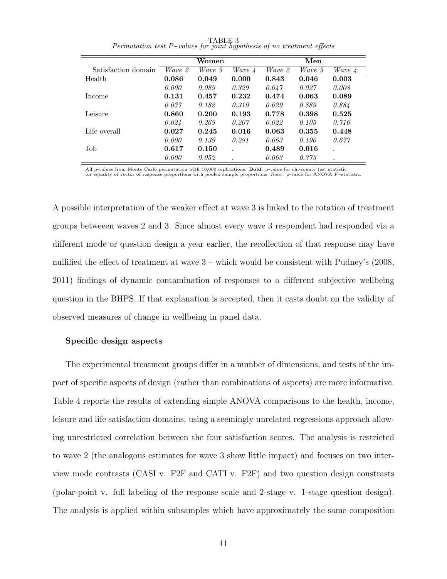|                     |        | Women  |                           |        | Men    |                 |
|---------------------|--------|--------|---------------------------|--------|--------|-----------------|
| Satisfaction domain | Wave 2 | Wave 3 | <i>Wave</i> $\frac{1}{4}$ | Wave 2 | Wave 3 | Wave $\sqrt{4}$ |
| Health              | 0.086  | 0.049  | 0.000                     | 0.843  | 0.046  | 0.003           |
|                     | 0.000  | 0.089  | 0.329                     | 0.047  | 0.027  | 0.008           |
| Income              | 0.131  | 0.457  | 0.232                     | 0.474  | 0.063  | 0.089           |
|                     | 0.037  | 0.182  | 0.310                     | 0.029  | 0.889  | 0.884           |
| Leisure             | 0.860  | 0.200  | 0.193                     | 0.778  | 0.398  | 0.525           |
|                     | 0.024  | 0.269  | 0.207                     | 0.022  | 0.105  | 0.716           |
| Life overall        | 0.027  | 0.245  | 0.016                     | 0.063  | 0.355  | 0.448           |
|                     | 0.000  | 0.139  | 0.291                     | 0.063  | 0.190  | 0.677           |
| Job.                | 0.617  | 0.150  |                           | 0.489  | 0.016  | $\cdot$         |
|                     | 0.000  | 0.052  |                           | 0.063  | 0.373  | $\cdot$         |

TABLE 3 Permutation test P−values for joint hypothesis of no treatment effects

All p-values from Monte Carlo permutation with 10,000 replications. Bold: p-value for chi-square test statistic for equality of vector of response proportions with pooled sample proportions; Italic: p-value for ANOVA F-statistic.

A possible interpretation of the weaker effect at wave 3 is linked to the rotation of treatment groups betweeen waves 2 and 3. Since almost every wave 3 respondent had responded via a different mode or question design a year earlier, the recollection of that response may have nullified the effect of treatment at wave  $3$  – which would be consistent with Pudney's (2008, 2011) findings of dynamic contamination of responses to a different subjective wellbeing question in the BHPS. If that explanation is accepted, then it casts doubt on the validity of observed measures of change in wellbeing in panel data.

#### Specific design aspects

The experimental treatment groups differ in a number of dimensions, and tests of the impact of specific aspects of design (rather than combinations of aspects) are more informative. Table 4 reports the results of extending simple ANOVA comparisons to the health, income, leisure and life satisfaction domains, using a seemingly unrelated regressions approach allowing unrestricted correlation between the four satisfaction scores. The analysis is restricted to wave 2 (the analogous estimates for wave 3 show little impact) and focuses on two interview mode contrasts (CASI v. F2F and CATI v. F2F) and two question design constrasts (polar-point v. full labeling of the response scale and 2-stage v. 1-stage question design). The analysis is applied within subsamples which have approximately the same composition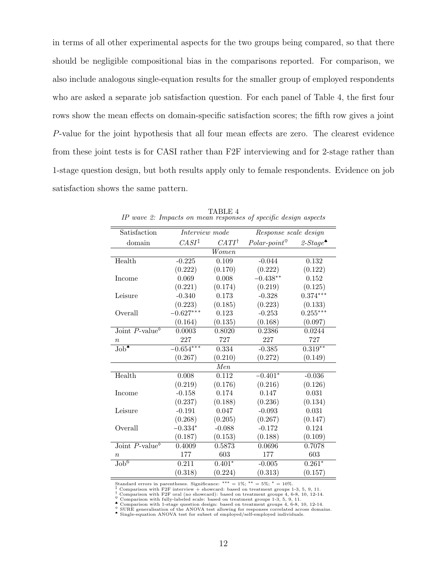in terms of all other experimental aspects for the two groups being compared, so that there should be negligible compositional bias in the comparisons reported. For comparison, we also include analogous single-equation results for the smaller group of employed respondents who are asked a separate job satisfaction question. For each panel of Table 4, the first four rows show the mean effects on domain-specific satisfaction scores; the fifth row gives a joint P-value for the joint hypothesis that all four mean effects are zero. The clearest evidence from these joint tests is for CASI rather than F2F interviewing and for 2-stage rather than 1-stage question design, but both results apply only to female respondents. Evidence on job satisfaction shows the same pattern.

| Satisfaction                                      | Interview mode    |                  | Response scale design   |                                         |
|---------------------------------------------------|-------------------|------------------|-------------------------|-----------------------------------------|
| domain                                            | $CASI^{\ddagger}$ | $CATI^{\dagger}$ | $Polar-point^{\otimes}$ | 2-Stage <sup><math>\bullet</math></sup> |
|                                                   |                   | Women            |                         |                                         |
| Health                                            | $-0.225$          | 0.109            | $-0.044$                | 0.132                                   |
|                                                   | (0.222)           | (0.170)          | (0.222)                 | (0.122)                                 |
| Income                                            | 0.069             | 0.008            | $-0.438**$              | 0.152                                   |
|                                                   | (0.221)           | (0.174)          | (0.219)                 | (0.125)                                 |
| Leisure                                           | $-0.340$          | 0.173            | $-0.328$                | $0.374***$                              |
|                                                   | (0.223)           | (0.185)          | (0.223)                 | (0.133)                                 |
| Overall                                           | $-0.627***$       | 0.123            | $-0.253$                | $0.255***$                              |
|                                                   | (0.164)           | (0.135)          | (0.168)                 | (0.097)                                 |
| Joint $P$ -value <sup><math>\diamond</math></sup> | 0.0003            | 0.8020           | 0.2386                  | 0.0244                                  |
| $\it n$                                           | 227               | 727              | 227                     | 727                                     |
| $Job^*$                                           | $-0.654***$       | 0.334            | $-0.385$                | $0.319**$                               |
|                                                   | (0.267)           | (0.210)          | (0.272)                 | (0.149)                                 |
|                                                   |                   | $\overline{Men}$ |                         |                                         |
| Health                                            | 0.008             | 0.112            | $-0.401*$               | $-0.036$                                |
|                                                   | (0.219)           | (0.176)          | (0.216)                 | (0.126)                                 |
| Income                                            | $-0.158$          | 0.174            | 0.147                   | 0.031                                   |
|                                                   | (0.237)           | (0.188)          | (0.236)                 | (0.134)                                 |
| Leisure                                           | $-0.191$          | 0.047            | $-0.093$                | $\,0.031\,$                             |
|                                                   | (0.268)           | (0.205)          | (0.267)                 | (0.147)                                 |
| Overall                                           | $-0.334*$         | $-0.088$         | $-0.172$                | 0.124                                   |
|                                                   | (0.187)           | (0.153)          | (0.188)                 | (0.109)                                 |
| Joint P-value                                     | 0.4009            | 0.5873           | 0.0696                  | 0.7078                                  |
| $\boldsymbol{n}$                                  | 177               | 603              | 177                     | 603                                     |
| $\overline{\mathrm{Job}^6}$                       | 0.211             | $0.401*$         | $-0.005$                | $0.261*$                                |
|                                                   | (0.318)           | (0.224)          | (0.313)                 | (0.157)                                 |

TABLE 4 IP wave 2: Impacts on mean responses of specific design aspects

Standard errors in parentheses. Significance: \*\*\* = 1%; \*\* = 5%; \* = 10%.

<sup>‡</sup> Comparison with F2F interview + showcard: based on treatment groups 1-3, 5, 9, 11.<br><sup>†</sup> Comparison with F2F oral (no showcard): based on treatment groups 4, 6-8, 10, 12-14.

 $\degree$  Comparison with fully-labeled scale: based on treatment groups 1-3, 5, 9, 11.<br>  $\degree$  Comparison with 1-stage question design: based on treatment groups 4, 6-8, 10, 12-14.

SURE generalisation of the ANOVA test allowing for responses correlated across domains.

♠ Single-equation ANOVA test for subset of employed/self-employed individuals.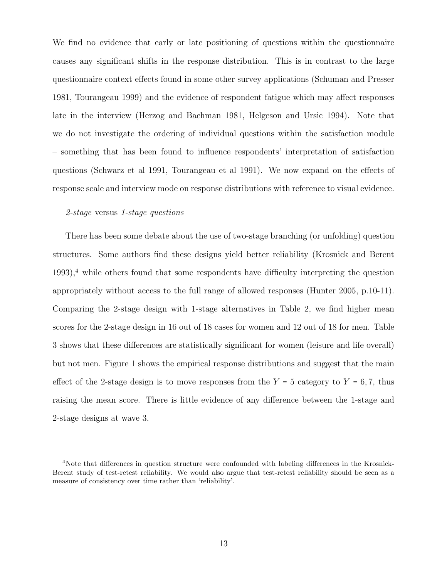We find no evidence that early or late positioning of questions within the questionnaire causes any significant shifts in the response distribution. This is in contrast to the large questionnaire context effects found in some other survey applications (Schuman and Presser 1981, Tourangeau 1999) and the evidence of respondent fatigue which may affect responses late in the interview (Herzog and Bachman 1981, Helgeson and Ursic 1994). Note that we do not investigate the ordering of individual questions within the satisfaction module – something that has been found to influence respondents' interpretation of satisfaction questions (Schwarz et al 1991, Tourangeau et al 1991). We now expand on the effects of response scale and interview mode on response distributions with reference to visual evidence.

#### 2-stage versus 1-stage questions

There has been some debate about the use of two-stage branching (or unfolding) question structures. Some authors find these designs yield better reliability (Krosnick and Berent  $1993$ <sup>4</sup>, while others found that some respondents have difficulty interpreting the question appropriately without access to the full range of allowed responses (Hunter 2005, p.10-11). Comparing the 2-stage design with 1-stage alternatives in Table 2, we find higher mean scores for the 2-stage design in 16 out of 18 cases for women and 12 out of 18 for men. Table 3 shows that these differences are statistically significant for women (leisure and life overall) but not men. Figure 1 shows the empirical response distributions and suggest that the main effect of the 2-stage design is to move responses from the  $Y = 5$  category to  $Y = 6, 7$ , thus raising the mean score. There is little evidence of any difference between the 1-stage and 2-stage designs at wave 3.

<sup>4</sup>Note that differences in question structure were confounded with labeling differences in the Krosnick-Berent study of test-retest reliability. We would also argue that test-retest reliability should be seen as a measure of consistency over time rather than 'reliability'.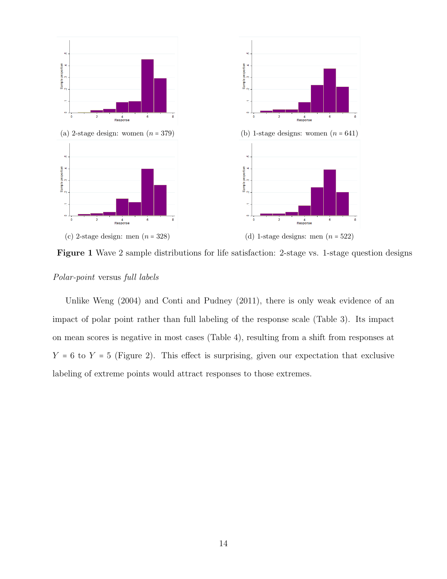

Figure 1 Wave 2 sample distributions for life satisfaction: 2-stage vs. 1-stage question designs

#### Polar-point versus full labels

Unlike Weng (2004) and Conti and Pudney (2011), there is only weak evidence of an impact of polar point rather than full labeling of the response scale (Table 3). Its impact on mean scores is negative in most cases (Table 4), resulting from a shift from responses at  $Y = 6$  to  $Y = 5$  (Figure 2). This effect is surprising, given our expectation that exclusive labeling of extreme points would attract responses to those extremes.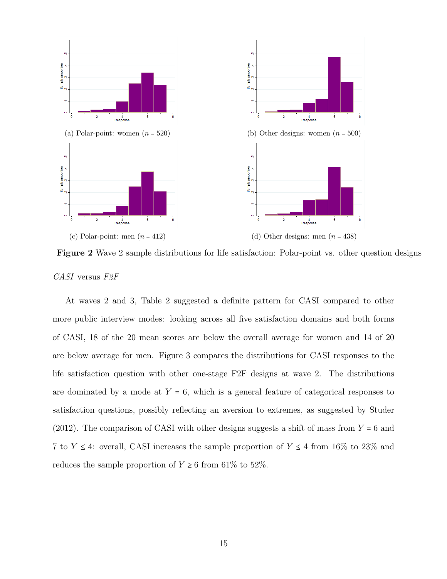

Figure 2 Wave 2 sample distributions for life satisfaction: Polar-point vs. other question designs CASI versus F2F

At waves 2 and 3, Table 2 suggested a definite pattern for CASI compared to other more public interview modes: looking across all five satisfaction domains and both forms of CASI, 18 of the 20 mean scores are below the overall average for women and 14 of 20 are below average for men. Figure 3 compares the distributions for CASI responses to the life satisfaction question with other one-stage F2F designs at wave 2. The distributions are dominated by a mode at  $Y = 6$ , which is a general feature of categorical responses to satisfaction questions, possibly reflecting an aversion to extremes, as suggested by Studer (2012). The comparison of CASI with other designs suggests a shift of mass from  $Y = 6$  and 7 to  $Y \leq 4$ : overall, CASI increases the sample proportion of  $Y \leq 4$  from 16% to 23% and reduces the sample proportion of  $Y \ge 6$  from 61% to 52%.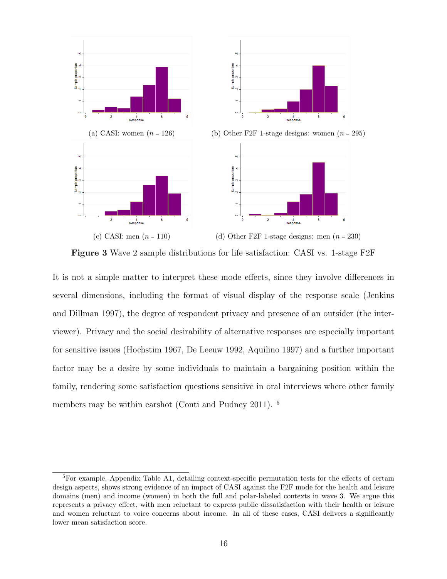

Figure 3 Wave 2 sample distributions for life satisfaction: CASI vs. 1-stage F2F

It is not a simple matter to interpret these mode effects, since they involve differences in several dimensions, including the format of visual display of the response scale (Jenkins and Dillman 1997), the degree of respondent privacy and presence of an outsider (the interviewer). Privacy and the social desirability of alternative responses are especially important for sensitive issues (Hochstim 1967, De Leeuw 1992, Aquilino 1997) and a further important factor may be a desire by some individuals to maintain a bargaining position within the family, rendering some satisfaction questions sensitive in oral interviews where other family members may be within earshot (Conti and Pudney 2011). <sup>5</sup>

<sup>5</sup>For example, Appendix Table A1, detailing context-specific permutation tests for the effects of certain design aspects, shows strong evidence of an impact of CASI against the F2F mode for the health and leisure domains (men) and income (women) in both the full and polar-labeled contexts in wave 3. We argue this represents a privacy effect, with men reluctant to express public dissatisfaction with their health or leisure and women reluctant to voice concerns about income. In all of these cases, CASI delivers a significantly lower mean satisfaction score.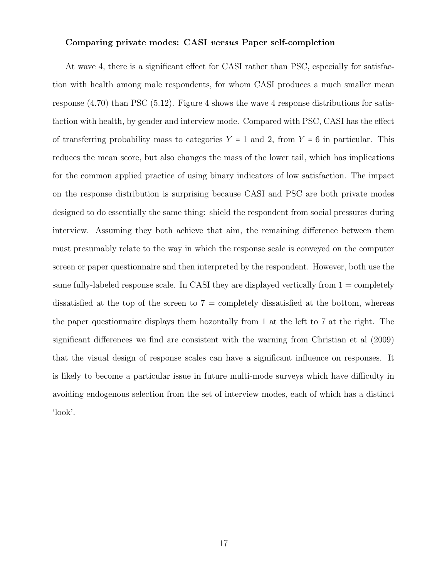#### Comparing private modes: CASI versus Paper self-completion

At wave 4, there is a significant effect for CASI rather than PSC, especially for satisfaction with health among male respondents, for whom CASI produces a much smaller mean response  $(4.70)$  than PSC  $(5.12)$ . Figure 4 shows the wave 4 response distributions for satisfaction with health, by gender and interview mode. Compared with PSC, CASI has the effect of transferring probability mass to categories  $Y = 1$  and 2, from  $Y = 6$  in particular. This reduces the mean score, but also changes the mass of the lower tail, which has implications for the common applied practice of using binary indicators of low satisfaction. The impact on the response distribution is surprising because CASI and PSC are both private modes designed to do essentially the same thing: shield the respondent from social pressures during interview. Assuming they both achieve that aim, the remaining difference between them must presumably relate to the way in which the response scale is conveyed on the computer screen or paper questionnaire and then interpreted by the respondent. However, both use the same fully-labeled response scale. In CASI they are displayed vertically from  $1 =$  completely dissatisfied at the top of the screen to  $7 =$  completely dissatisfied at the bottom, whereas the paper questionnaire displays them hozontally from 1 at the left to 7 at the right. The significant differences we find are consistent with the warning from Christian et al (2009) that the visual design of response scales can have a significant influence on responses. It is likely to become a particular issue in future multi-mode surveys which have difficulty in avoiding endogenous selection from the set of interview modes, each of which has a distinct 'look'.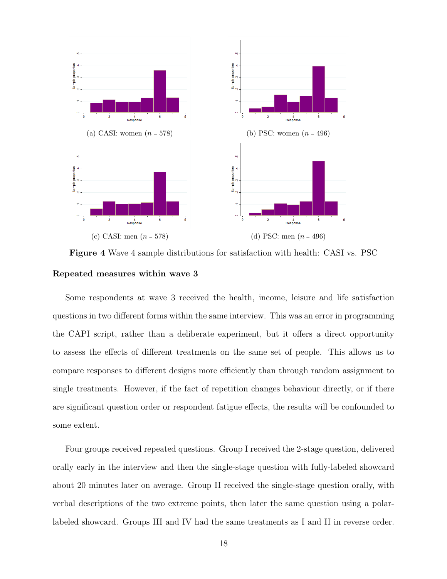

Figure 4 Wave 4 sample distributions for satisfaction with health: CASI vs. PSC Repeated measures within wave 3

Some respondents at wave 3 received the health, income, leisure and life satisfaction questions in two different forms within the same interview. This was an error in programming the CAPI script, rather than a deliberate experiment, but it offers a direct opportunity to assess the effects of different treatments on the same set of people. This allows us to compare responses to different designs more efficiently than through random assignment to single treatments. However, if the fact of repetition changes behaviour directly, or if there are significant question order or respondent fatigue effects, the results will be confounded to some extent.

Four groups received repeated questions. Group I received the 2-stage question, delivered orally early in the interview and then the single-stage question with fully-labeled showcard about 20 minutes later on average. Group II received the single-stage question orally, with verbal descriptions of the two extreme points, then later the same question using a polarlabeled showcard. Groups III and IV had the same treatments as I and II in reverse order.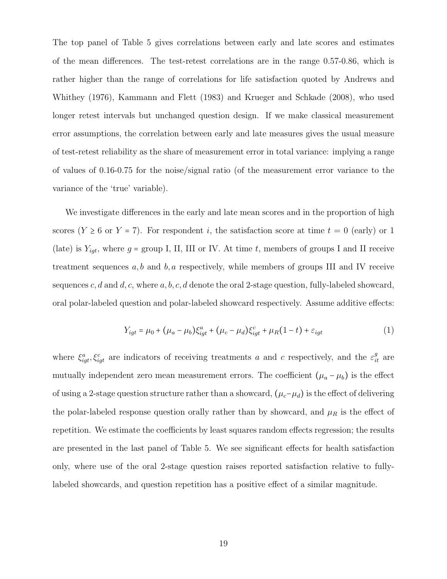The top panel of Table 5 gives correlations between early and late scores and estimates of the mean differences. The test-retest correlations are in the range 0.57-0.86, which is rather higher than the range of correlations for life satisfaction quoted by Andrews and Whithey (1976), Kammann and Flett (1983) and Krueger and Schkade (2008), who used longer retest intervals but unchanged question design. If we make classical measurement error assumptions, the correlation between early and late measures gives the usual measure of test-retest reliability as the share of measurement error in total variance: implying a range of values of 0.16-0.75 for the noise/signal ratio (of the measurement error variance to the variance of the 'true' variable).

We investigate differences in the early and late mean scores and in the proportion of high scores ( $Y \ge 6$  or  $Y = 7$ ). For respondent i, the satisfaction score at time  $t = 0$  (early) or 1 (late) is  $Y_{igt}$ , where  $g = \text{group I}, \text{ II}, \text{ III}$  or IV. At time t, members of groups I and II receive treatment sequences  $a, b$  and  $b, a$  respectively, while members of groups III and IV receive sequences c, d and d, c, where  $a, b, c, d$  denote the oral 2-stage question, fully-labeled showcard, oral polar-labeled question and polar-labeled showcard respectively. Assume additive effects:

$$
Y_{igt} = \mu_0 + (\mu_a - \mu_b)\xi_{igt}^a + (\mu_c - \mu_d)\xi_{igt}^c + \mu_R(1 - t) + \varepsilon_{igt}
$$
 (1)

where  $\xi_{igt}^a, \xi_{igt}^c$  are indicators of receiving treatments a and c respectively, and the  $\varepsilon_{it}^g$  are mutually independent zero mean measurement errors. The coefficient  $(\mu_a - \mu_b)$  is the effect of using a 2-stage question structure rather than a showcard,  $(\mu_c-\mu_d)$  is the effect of delivering the polar-labeled response question orally rather than by showcard, and  $\mu_R$  is the effect of repetition. We estimate the coefficients by least squares random effects regression; the results are presented in the last panel of Table 5. We see significant effects for health satisfaction only, where use of the oral 2-stage question raises reported satisfaction relative to fullylabeled showcards, and question repetition has a positive effect of a similar magnitude.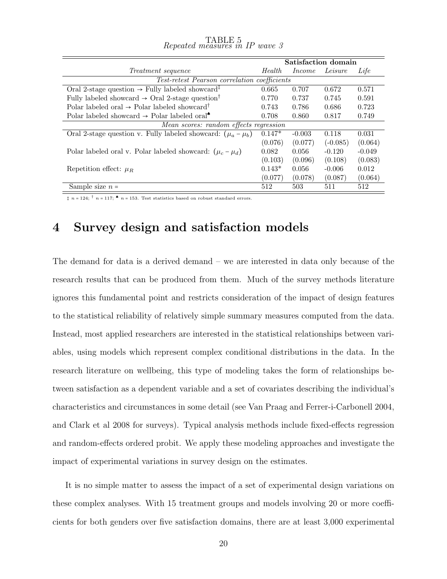|                                                                         |          |          | Satisfaction domain |          |
|-------------------------------------------------------------------------|----------|----------|---------------------|----------|
| <i>Treatment sequence</i>                                               | Health.  | Income   | Leisure             | Life     |
| Test-retest Pearson correlation coefficients                            |          |          |                     |          |
| Oral 2-stage question $\rightarrow$ Fully labeled showcard <sup>‡</sup> | 0.665    | 0.707    | 0.672               | 0.571    |
| Fully labeled showcard $\rightarrow$ Oral 2-stage question <sup>†</sup> | 0.770    | 0.737    | 0.745               | 0.591    |
| Polar labeled oral $\rightarrow$ Polar labeled showcard <sup>†</sup>    | 0.743    | 0.786    | 0.686               | 0.723    |
| Polar labeled showcard $\rightarrow$ Polar labeled oral <sup>*</sup>    | 0.708    | 0.860    | 0.817               | 0.749    |
| Mean scores: random effects regression                                  |          |          |                     |          |
| Oral 2-stage question v. Fully labeled showcard: $(\mu_a - \mu_b)$      | $0.147*$ | $-0.003$ | 0.118               | 0.031    |
|                                                                         | (0.076)  | (0.077)  | $(-0.085)$          | (0.064)  |
| Polar labeled oral v. Polar labeled showcard: $(\mu_c - \mu_d)$         | 0.082    | 0.056    | $-0.120$            | $-0.049$ |
|                                                                         | (0.103)  | (0.096)  | (0.108)             | (0.083)  |
| Repetition effect: $\mu_R$                                              | $0.143*$ | 0.056    | $-0.006$            | 0.012    |
|                                                                         | (0.077)  | (0.078)  | (0.087)             | (0.064)  |
| Sample size $n =$                                                       | 512      | 503      | 511                 | 512      |

| $Repeated\ measures\ in\ IP\ wave\ S$ |  |  |
|---------------------------------------|--|--|
|                                       |  |  |

 $\ddagger$  n = 124;  $\dagger$  n = 117;  $\triangleq$  n = 153. Test statistics based on robust standard errors.

### 4 Survey design and satisfaction models

The demand for data is a derived demand – we are interested in data only because of the research results that can be produced from them. Much of the survey methods literature ignores this fundamental point and restricts consideration of the impact of design features to the statistical reliability of relatively simple summary measures computed from the data. Instead, most applied researchers are interested in the statistical relationships between variables, using models which represent complex conditional distributions in the data. In the research literature on wellbeing, this type of modeling takes the form of relationships between satisfaction as a dependent variable and a set of covariates describing the individual's characteristics and circumstances in some detail (see Van Praag and Ferrer-i-Carbonell 2004, and Clark et al 2008 for surveys). Typical analysis methods include fixed-effects regression and random-effects ordered probit. We apply these modeling approaches and investigate the impact of experimental variations in survey design on the estimates.

It is no simple matter to assess the impact of a set of experimental design variations on these complex analyses. With 15 treatment groups and models involving 20 or more coefficients for both genders over five satisfaction domains, there are at least 3,000 experimental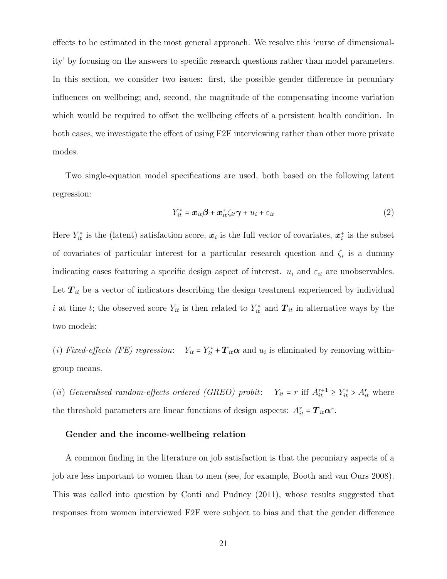effects to be estimated in the most general approach. We resolve this 'curse of dimensionality' by focusing on the answers to specific research questions rather than model parameters. In this section, we consider two issues: first, the possible gender difference in pecuniary influences on wellbeing; and, second, the magnitude of the compensating income variation which would be required to offset the wellbeing effects of a persistent health condition. In both cases, we investigate the effect of using F2F interviewing rather than other more private modes.

Two single-equation model specifications are used, both based on the following latent regression:

$$
Y_{it}^* = \boldsymbol{x}_{it}\boldsymbol{\beta} + \boldsymbol{x}_{it}^* \zeta_{it}\boldsymbol{\gamma} + u_i + \varepsilon_{it}
$$
\n(2)

Here  $Y_{it}^*$  is the (latent) satisfaction score,  $x_i$  is the full vector of covariates,  $x_i^*$  is the subset of covariates of particular interest for a particular research question and  $\zeta_i$  is a dummy indicating cases featuring a specific design aspect of interest.  $u_i$  and  $\varepsilon_{it}$  are unobservables. Let  $T_{it}$  be a vector of indicators describing the design treatment experienced by individual i at time t; the observed score  $Y_{it}$  is then related to  $Y_{it}^*$  and  $T_{it}$  in alternative ways by the two models:

(i) Fixed-effects (FE) regression:  $Y_{it} = Y_{it}^* + T_{it} \alpha$  and  $u_i$  is eliminated by removing withingroup means.

(ii) Generalised random-effects ordered (GREO) probit:  $Y_{it} = r$  iff  $A_{it}^{r+1} \ge Y_{it}^* > A_{it}^r$  where the threshold parameters are linear functions of design aspects:  $A_{it}^r = T_{it} \alpha^r$ .

#### Gender and the income-wellbeing relation

A common finding in the literature on job satisfaction is that the pecuniary aspects of a job are less important to women than to men (see, for example, Booth and van Ours 2008). This was called into question by Conti and Pudney (2011), whose results suggested that responses from women interviewed F2F were subject to bias and that the gender difference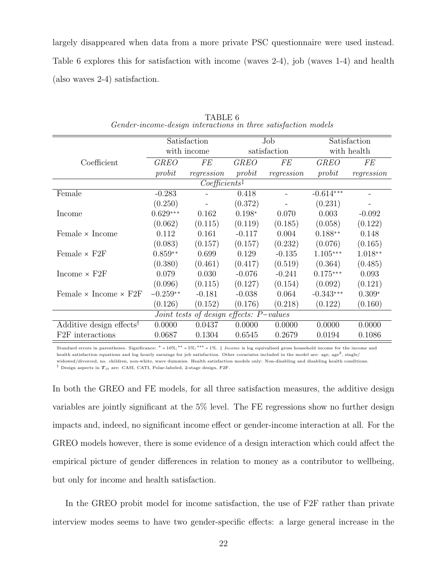largely disappeared when data from a more private PSC questionnaire were used instead. Table 6 explores this for satisfaction with income (waves 2-4), job (waves 1-4) and health (also waves 2-4) satisfaction.

|                                      |             | Satisfaction                            |             | Job          |             | Satisfaction |
|--------------------------------------|-------------|-----------------------------------------|-------------|--------------|-------------|--------------|
|                                      |             | with income                             |             | satisfaction |             | with health  |
| Coefficient                          | <b>GREO</b> | <b>FE</b>                               | <b>GREO</b> | FE           | <b>GREO</b> | <b>FE</b>    |
|                                      | probit      | regression                              | probit      | regression   | probit      | regression   |
|                                      |             | $Coefficients$ <sup>‡</sup>             |             |              |             |              |
| Female                               | $-0.283$    |                                         | 0.418       |              | $-0.614***$ |              |
|                                      | (0.250)     |                                         | (0.372)     |              | (0.231)     |              |
| Income                               | $0.629***$  | 0.162                                   | $0.198*$    | 0.070        | 0.003       | $-0.092$     |
|                                      | (0.062)     | (0.115)                                 | (0.119)     | (0.185)      | (0.058)     | (0.122)      |
| Female $\times$ Income               | 0.112       | 0.161                                   | $-0.117$    | 0.004        | $0.188**$   | 0.148        |
|                                      | (0.083)     | (0.157)                                 | (0.157)     | (0.232)      | (0.076)     | (0.165)      |
| Female $\times$ F2F                  | $0.859**$   | 0.699                                   | 0.129       | $-0.135$     | $1.105***$  | $1.018**$    |
|                                      | (0.380)     | (0.461)                                 | (0.417)     | (0.519)      | (0.364)     | (0.485)      |
| Income $\times$ F2F                  | 0.079       | 0.030                                   | $-0.076$    | $-0.241$     | $0.175***$  | 0.093        |
|                                      | (0.096)     | (0.115)                                 | (0.127)     | (0.154)      | (0.092)     | (0.121)      |
| Female $\times$ Income $\times$ F2F  | $-0.259**$  | $-0.181$                                | $-0.038$    | 0.064        | $-0.343***$ | $0.309*$     |
|                                      | (0.126)     | (0.152)                                 | (0.176)     | (0.218)      | (0.122)     | (0.160)      |
|                                      |             | Joint tests of design effects: P-values |             |              |             |              |
| Additive design effects <sup>†</sup> | 0.0000      | 0.0437                                  | 0.0000      | 0.0000       | 0.0000      | 0.0000       |
| F <sub>2F</sub> interactions         | 0.0687      | 0.1304                                  | 0.6545      | 0.2679       | 0.0194      | 0.1086       |

TABLE 6 Gender-income-design interactions in three satisfaction models

Standard errors in parentheses. Significance: <sup>∗</sup> = 10%; ∗∗ = 5%; ∗∗∗ = 1%. ‡ Income is log equivalised gross household income for the income and health satisfaction equations and log hourly earnings for job satisfaction. Other covariates included in the model are: age, age<sup>2</sup>, single/ widowed/divorced, no. children, non-white, wave dummies. Health satisfaction models only: Non-disabling and disabling health conditions.

<sup>†</sup> Design aspects in  $T_{it}$  are: CASI, CATI, Polar-labeled, 2-stage design, F2F.

In both the GREO and FE models, for all three satisfaction measures, the additive design variables are jointly significant at the 5% level. The FE regressions show no further design impacts and, indeed, no significant income effect or gender-income interaction at all. For the GREO models however, there is some evidence of a design interaction which could affect the empirical picture of gender differences in relation to money as a contributor to wellbeing, but only for income and health satisfaction.

In the GREO probit model for income satisfaction, the use of F2F rather than private interview modes seems to have two gender-specific effects: a large general increase in the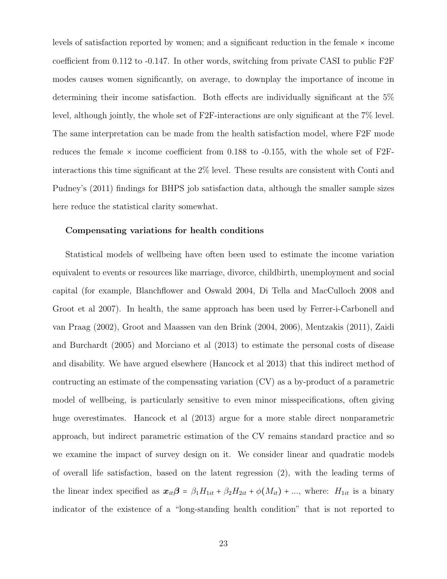levels of satisfaction reported by women; and a significant reduction in the female × income coefficient from 0.112 to -0.147. In other words, switching from private CASI to public F2F modes causes women significantly, on average, to downplay the importance of income in determining their income satisfaction. Both effects are individually significant at the 5% level, although jointly, the whole set of F2F-interactions are only significant at the 7% level. The same interpretation can be made from the health satisfaction model, where F2F mode reduces the female  $\times$  income coefficient from 0.188 to -0.155, with the whole set of F2Finteractions this time significant at the 2% level. These results are consistent with Conti and Pudney's (2011) findings for BHPS job satisfaction data, although the smaller sample sizes here reduce the statistical clarity somewhat.

#### Compensating variations for health conditions

Statistical models of wellbeing have often been used to estimate the income variation equivalent to events or resources like marriage, divorce, childbirth, unemployment and social capital (for example, Blanchflower and Oswald 2004, Di Tella and MacCulloch 2008 and Groot et al 2007). In health, the same approach has been used by Ferrer-i-Carbonell and van Praag (2002), Groot and Maassen van den Brink (2004, 2006), Mentzakis (2011), Zaidi and Burchardt (2005) and Morciano et al (2013) to estimate the personal costs of disease and disability. We have argued elsewhere (Hancock et al 2013) that this indirect method of contructing an estimate of the compensating variation (CV) as a by-product of a parametric model of wellbeing, is particularly sensitive to even minor misspecifications, often giving huge overestimates. Hancock et al (2013) argue for a more stable direct nonparametric approach, but indirect parametric estimation of the CV remains standard practice and so we examine the impact of survey design on it. We consider linear and quadratic models of overall life satisfaction, based on the latent regression (2), with the leading terms of the linear index specified as  $x_{it}\beta = \beta_1 H_{1it} + \beta_2 H_{2it} + \phi(M_{it}) + ...$ , where:  $H_{1it}$  is a binary indicator of the existence of a "long-standing health condition" that is not reported to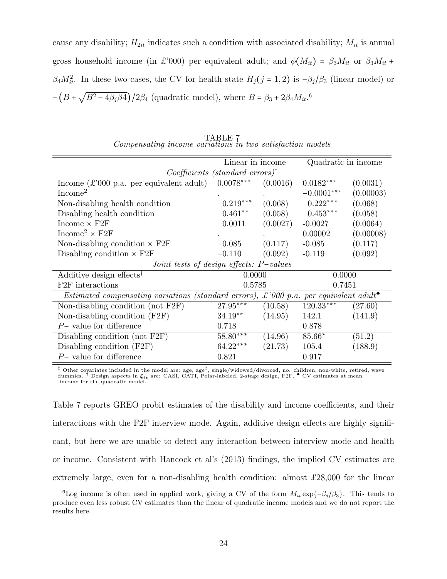cause any disability;  $H_{2it}$  indicates such a condition with associated disability;  $M_{it}$  is annual gross household income (in £'000) per equivalent adult; and  $\phi(M_{it}) = \beta_3 M_{it}$  or  $\beta_3 M_{it}$  +  $\beta_4 M_{it}^2$ . In these two cases, the CV for health state  $H_j(j = 1, 2)$  is  $-\beta_j/\beta_3$  (linear model) or  $-(B +$ √  $(B^2-4\beta_j\beta_4)/2\beta_4$  (quadratic model), where  $B=\beta_3+2\beta_4M_{it}.$ <sup>6</sup>

|                                                                                                   | Linear in income                                                  |          | Quadratic in income |           |  |
|---------------------------------------------------------------------------------------------------|-------------------------------------------------------------------|----------|---------------------|-----------|--|
|                                                                                                   | $Coefficients$ (standard errors) <sup><math>\ddagger</math></sup> |          |                     |           |  |
| Income $(\pounds'000 \text{ p.a. per equivalent adult})$                                          | $0.0078***$                                                       | (0.0016) | $0.0182***$         | (0.0031)  |  |
| Income <sup>2</sup>                                                                               |                                                                   |          | $-0.0001***$        | (0.00003) |  |
| Non-disabling health condition                                                                    | $-0.219***$                                                       | (0.068)  | $-0.222***$         | (0.068)   |  |
| Disabling health condition                                                                        | $-0.461**$                                                        | (0.058)  | $-0.453***$         | (0.058)   |  |
| Income $\times$ F2F                                                                               | $-0.0011$                                                         | (0.0027) | $-0.0027$           | (0.0064)  |  |
| Income <sup>2</sup> $\times$ F <sub>2F</sub>                                                      |                                                                   |          | 0.00002             | (0.00008) |  |
| Non-disabling condition $\times$ F2F                                                              | $-0.085$                                                          | (0.117)  | $-0.085$            | (0.117)   |  |
| Disabling condition $\times$ F2F                                                                  | $-0.110$                                                          | (0.092)  | $-0.119$            | (0.092)   |  |
| Joint tests of design effects: $P-values$                                                         |                                                                   |          |                     |           |  |
| Additive design effects <sup>†</sup>                                                              | 0.0000                                                            |          | 0.0000              |           |  |
| F <sub>2F</sub> interactions                                                                      | 0.5785                                                            |          |                     | 0.7451    |  |
| Estimated compensating variations (standard errors), £'000 p.a. per equivalent adult <sup>*</sup> |                                                                   |          |                     |           |  |
| Non-disabling condition (not $F2F$ )                                                              | $27.95***$                                                        | (10.58)  | $120.33***$         | (27.60)   |  |
| Non-disabling condition $(F2F)$                                                                   | $34.19**$                                                         | (14.95)  | 142.1               | (141.9)   |  |
| $P-$ value for difference                                                                         | 0.718                                                             |          | 0.878               |           |  |
| Disabling condition (not F2F)                                                                     | $58.80***$                                                        | (14.96)  | 85.66*              | (51.2)    |  |
| Disabling condition $(F2F)$                                                                       | $64.22***$                                                        | (21.73)  | 105.4               | (188.9)   |  |
| $P-$ value for difference                                                                         | 0.821                                                             |          | 0.917               |           |  |

TABLE 7 Compensating income variations in two satisfaction models

<sup>‡</sup> Other covariates included in the model are: age, age<sup>2</sup>, single/widowed/divorced, no. children, non-white, retired, wave dummies. <sup>†</sup> Design aspects in  $\xi_{it}$  are: CASI, CATI, Polar-labeled, 2-stage design, F2F. <sup>■</sup> income for the quadratic model.

Table 7 reports GREO probit estimates of the disability and income coefficients, and their interactions with the F2F interview mode. Again, additive design effects are highly significant, but here we are unable to detect any interaction between interview mode and health or income. Consistent with Hancock et al's (2013) findings, the implied CV estimates are extremely large, even for a non-disabling health condition: almost £28,000 for the linear

<sup>&</sup>lt;sup>6</sup>Log income is often used in applied work, giving a CV of the form  $M_{it} \exp{\{-\beta_j/\beta_3\}}$ . This tends to produce even less robust CV estimates than the linear of quadratic income models and we do not report the results here.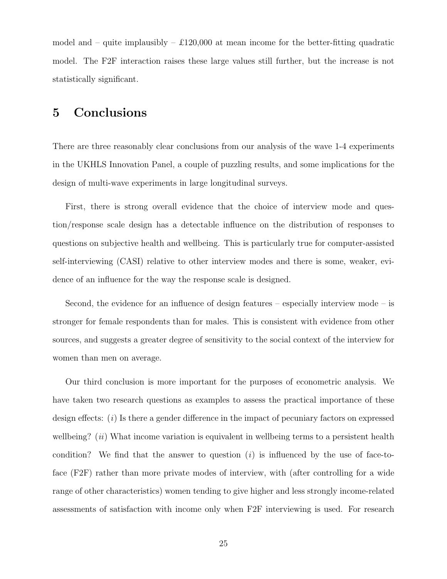model and – quite implausibly –  $\pounds120,000$  at mean income for the better-fitting quadratic model. The F2F interaction raises these large values still further, but the increase is not statistically significant.

### 5 Conclusions

There are three reasonably clear conclusions from our analysis of the wave 1-4 experiments in the UKHLS Innovation Panel, a couple of puzzling results, and some implications for the design of multi-wave experiments in large longitudinal surveys.

First, there is strong overall evidence that the choice of interview mode and question/response scale design has a detectable influence on the distribution of responses to questions on subjective health and wellbeing. This is particularly true for computer-assisted self-interviewing (CASI) relative to other interview modes and there is some, weaker, evidence of an influence for the way the response scale is designed.

Second, the evidence for an influence of design features – especially interview mode – is stronger for female respondents than for males. This is consistent with evidence from other sources, and suggests a greater degree of sensitivity to the social context of the interview for women than men on average.

Our third conclusion is more important for the purposes of econometric analysis. We have taken two research questions as examples to assess the practical importance of these design effects: (i) Is there a gender difference in the impact of pecuniary factors on expressed wellbeing?  $(ii)$  What income variation is equivalent in wellbeing terms to a persistent health condition? We find that the answer to question  $(i)$  is influenced by the use of face-toface (F2F) rather than more private modes of interview, with (after controlling for a wide range of other characteristics) women tending to give higher and less strongly income-related assessments of satisfaction with income only when F2F interviewing is used. For research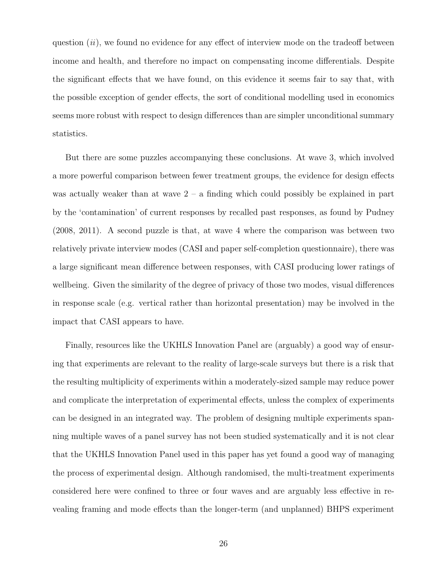question  $(ii)$ , we found no evidence for any effect of interview mode on the tradeoff between income and health, and therefore no impact on compensating income differentials. Despite the significant effects that we have found, on this evidence it seems fair to say that, with the possible exception of gender effects, the sort of conditional modelling used in economics seems more robust with respect to design differences than are simpler unconditional summary statistics.

But there are some puzzles accompanying these conclusions. At wave 3, which involved a more powerful comparison between fewer treatment groups, the evidence for design effects was actually weaker than at wave  $2 - a$  finding which could possibly be explained in part by the 'contamination' of current responses by recalled past responses, as found by Pudney (2008, 2011). A second puzzle is that, at wave 4 where the comparison was between two relatively private interview modes (CASI and paper self-completion questionnaire), there was a large significant mean difference between responses, with CASI producing lower ratings of wellbeing. Given the similarity of the degree of privacy of those two modes, visual differences in response scale (e.g. vertical rather than horizontal presentation) may be involved in the impact that CASI appears to have.

Finally, resources like the UKHLS Innovation Panel are (arguably) a good way of ensuring that experiments are relevant to the reality of large-scale surveys but there is a risk that the resulting multiplicity of experiments within a moderately-sized sample may reduce power and complicate the interpretation of experimental effects, unless the complex of experiments can be designed in an integrated way. The problem of designing multiple experiments spanning multiple waves of a panel survey has not been studied systematically and it is not clear that the UKHLS Innovation Panel used in this paper has yet found a good way of managing the process of experimental design. Although randomised, the multi-treatment experiments considered here were confined to three or four waves and are arguably less effective in revealing framing and mode effects than the longer-term (and unplanned) BHPS experiment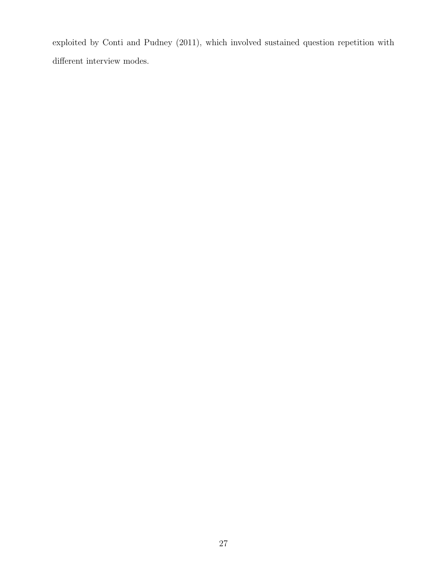exploited by Conti and Pudney (2011), which involved sustained question repetition with different interview modes.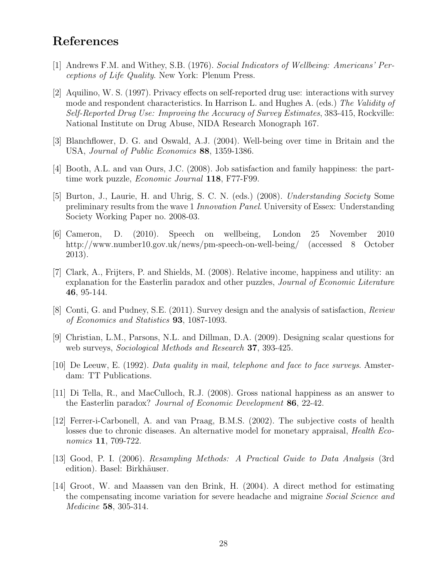#### References

- [1] Andrews F.M. and Withey, S.B. (1976). Social Indicators of Wellbeing: Americans' Perceptions of Life Quality. New York: Plenum Press.
- [2] Aquilino, W. S. (1997). Privacy effects on self-reported drug use: interactions with survey mode and respondent characteristics. In Harrison L. and Hughes A. (eds.) The Validity of Self-Reported Drug Use: Improving the Accuracy of Survey Estimates, 383-415, Rockville: National Institute on Drug Abuse, NIDA Research Monograph 167.
- [3] Blanchflower, D. G. and Oswald, A.J. (2004). Well-being over time in Britain and the USA, Journal of Public Economics 88, 1359-1386.
- [4] Booth, A.L. and van Ours, J.C. (2008). Job satisfaction and family happiness: the parttime work puzzle, *Economic Journal* 118, F77-F99.
- [5] Burton, J., Laurie, H. and Uhrig, S. C. N. (eds.) (2008). Understanding Society Some preliminary results from the wave 1 Innovation Panel. University of Essex: Understanding Society Working Paper no. 2008-03.
- [6] Cameron, D. (2010). Speech on wellbeing, London 25 November 2010 http://www.number10.gov.uk/news/pm-speech-on-well-being/ (accessed 8 October 2013).
- [7] Clark, A., Frijters, P. and Shields, M. (2008). Relative income, happiness and utility: an explanation for the Easterlin paradox and other puzzles, Journal of Economic Literature 46, 95-144.
- [8] Conti, G. and Pudney, S.E. (2011). Survey design and the analysis of satisfaction, Review of Economics and Statistics 93, 1087-1093.
- [9] Christian, L.M., Parsons, N.L. and Dillman, D.A. (2009). Designing scalar questions for web surveys, Sociological Methods and Research 37, 393-425.
- [10] De Leeuw, E. (1992). Data quality in mail, telephone and face to face surveys. Amsterdam: TT Publications.
- [11] Di Tella, R., and MacCulloch, R.J. (2008). Gross national happiness as an answer to the Easterlin paradox? Journal of Economic Development 86, 22-42.
- [12] Ferrer-i-Carbonell, A. and van Praag, B.M.S. (2002). The subjective costs of health losses due to chronic diseases. An alternative model for monetary appraisal, *Health Eco*nomics 11, 709-722.
- [13] Good, P. I. (2006). Resampling Methods: A Practical Guide to Data Analysis (3rd edition). Basel: Birkhäuser.
- [14] Groot, W. and Maassen van den Brink, H. (2004). A direct method for estimating the compensating income variation for severe headache and migraine *Social Science and* Medicine 58, 305-314.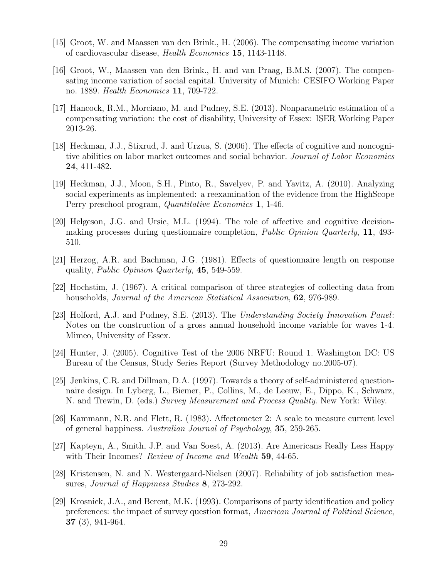- [15] Groot, W. and Maassen van den Brink., H. (2006). The compensating income variation of cardiovascular disease, Health Economics 15, 1143-1148.
- [16] Groot, W., Maassen van den Brink., H. and van Praag, B.M.S. (2007). The compensating income variation of social capital. University of Munich: CESIFO Working Paper no. 1889. Health Economics 11, 709-722.
- [17] Hancock, R.M., Morciano, M. and Pudney, S.E. (2013). Nonparametric estimation of a compensating variation: the cost of disability, University of Essex: ISER Working Paper 2013-26.
- [18] Heckman, J.J., Stixrud, J. and Urzua, S. (2006). The effects of cognitive and noncognitive abilities on labor market outcomes and social behavior. Journal of Labor Economics 24, 411-482.
- [19] Heckman, J.J., Moon, S.H., Pinto, R., Savelyev, P. and Yavitz, A. (2010). Analyzing social experiments as implemented: a reexamination of the evidence from the HighScope Perry preschool program, Quantitative Economics 1, 1-46.
- [20] Helgeson, J.G. and Ursic, M.L. (1994). The role of affective and cognitive decisionmaking processes during questionnaire completion, *Public Opinion Quarterly*, 11, 493-510.
- [21] Herzog, A.R. and Bachman, J.G. (1981). Effects of questionnaire length on response quality, Public Opinion Quarterly, 45, 549-559.
- [22] Hochstim, J. (1967). A critical comparison of three strategies of collecting data from households, Journal of the American Statistical Association, 62, 976-989.
- [23] Holford, A.J. and Pudney, S.E. (2013). The Understanding Society Innovation Panel: Notes on the construction of a gross annual household income variable for waves 1-4. Mimeo, University of Essex.
- [24] Hunter, J. (2005). Cognitive Test of the 2006 NRFU: Round 1. Washington DC: US Bureau of the Census, Study Series Report (Survey Methodology no.2005-07).
- [25] Jenkins, C.R. and Dillman, D.A. (1997). Towards a theory of self-administered questionnaire design. In Lyberg, L., Biemer, P., Collins, M., de Leeuw, E., Dippo, K., Schwarz, N. and Trewin, D. (eds.) Survey Measurement and Process Quality. New York: Wiley.
- [26] Kammann, N.R. and Flett, R. (1983). Affectometer 2: A scale to measure current level of general happiness. Australian Journal of Psychology, 35, 259-265.
- [27] Kapteyn, A., Smith, J.P. and Van Soest, A. (2013). Are Americans Really Less Happy with Their Incomes? Review of Income and Wealth 59, 44-65.
- [28] Kristensen, N. and N. Westergaard-Nielsen (2007). Reliability of job satisfaction measures, *Journal of Happiness Studies* 8, 273-292.
- [29] Krosnick, J.A., and Berent, M.K. (1993). Comparisons of party identification and policy preferences: the impact of survey question format, American Journal of Political Science, 37 (3), 941-964.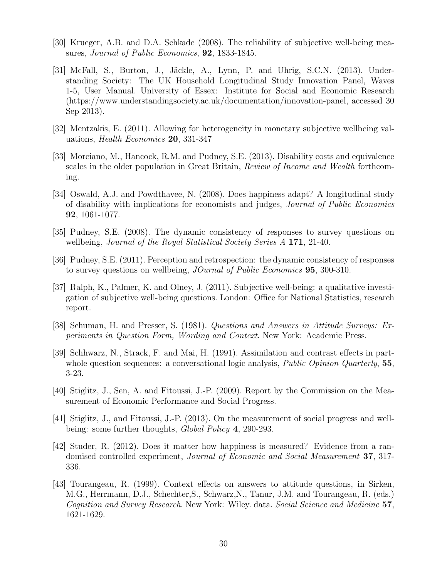- [30] Krueger, A.B. and D.A. Schkade (2008). The reliability of subjective well-being measures, Journal of Public Economics, **92**, 1833-1845.
- $[31]$  McFall, S., Burton, J., Jäckle, A., Lynn, P. and Uhrig, S.C.N. (2013). Understanding Society: The UK Household Longitudinal Study Innovation Panel, Waves 1-5, User Manual. University of Essex: Institute for Social and Economic Research (https://www.understandingsociety.ac.uk/documentation/innovation-panel, accessed 30 Sep 2013).
- [32] Mentzakis, E. (2011). Allowing for heterogeneity in monetary subjective wellbeing valuations, Health Economics 20, 331-347
- [33] Morciano, M., Hancock, R.M. and Pudney, S.E. (2013). Disability costs and equivalence scales in the older population in Great Britain, Review of Income and Wealth forthcoming.
- [34] Oswald, A.J. and Powdthavee, N. (2008). Does happiness adapt? A longitudinal study of disability with implications for economists and judges, Journal of Public Economics 92, 1061-1077.
- [35] Pudney, S.E. (2008). The dynamic consistency of responses to survey questions on wellbeing, *Journal of the Royal Statistical Society Series A* 171, 21-40.
- [36] Pudney, S.E. (2011). Perception and retrospection: the dynamic consistency of responses to survey questions on wellbeing, *JOurnal of Public Economics* **95**, 300-310.
- [37] Ralph, K., Palmer, K. and Olney, J. (2011). Subjective well-being: a qualitative investigation of subjective well-being questions. London: Office for National Statistics, research report.
- [38] Schuman, H. and Presser, S. (1981). Questions and Answers in Attitude Surveys: Experiments in Question Form, Wording and Context. New York: Academic Press.
- [39] Schhwarz, N., Strack, F. and Mai, H. (1991). Assimilation and contrast effects in partwhole question sequences: a conversational logic analysis, *Public Opinion Quarterly*,  $55$ , 3-23.
- [40] Stiglitz, J., Sen, A. and Fitoussi, J.-P. (2009). Report by the Commission on the Measurement of Economic Performance and Social Progress.
- [41] Stiglitz, J., and Fitoussi, J.-P. (2013). On the measurement of social progress and wellbeing: some further thoughts, *Global Policy* 4, 290-293.
- [42] Studer, R. (2012). Does it matter how happiness is measured? Evidence from a randomised controlled experiment, Journal of Economic and Social Measurement 37, 317- 336.
- [43] Tourangeau, R. (1999). Context effects on answers to attitude questions, in Sirken, M.G., Herrmann, D.J., Schechter,S., Schwarz,N., Tanur, J.M. and Tourangeau, R. (eds.) Cognition and Survey Research. New York: Wiley. data. Social Science and Medicine 57, 1621-1629.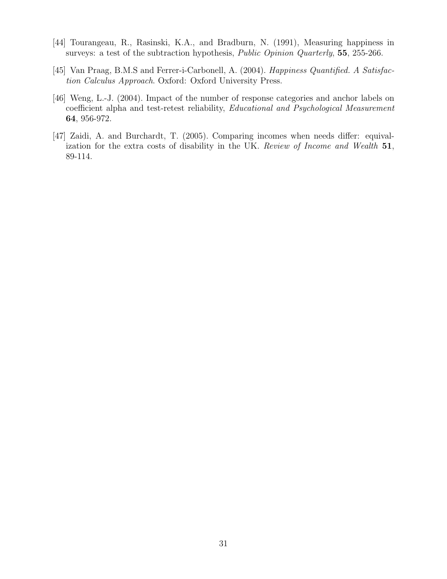- [44] Tourangeau, R., Rasinski, K.A., and Bradburn, N. (1991), Measuring happiness in surveys: a test of the subtraction hypothesis, *Public Opinion Quarterly*, **55**, 255-266.
- [45] Van Praag, B.M.S and Ferrer-i-Carbonell, A. (2004). Happiness Quantified. A Satisfaction Calculus Approach. Oxford: Oxford University Press.
- [46] Weng, L.-J. (2004). Impact of the number of response categories and anchor labels on coefficient alpha and test-retest reliability, Educational and Psychological Measurement 64, 956-972.
- [47] Zaidi, A. and Burchardt, T. (2005). Comparing incomes when needs differ: equivalization for the extra costs of disability in the UK. Review of Income and Wealth 51, 89-114.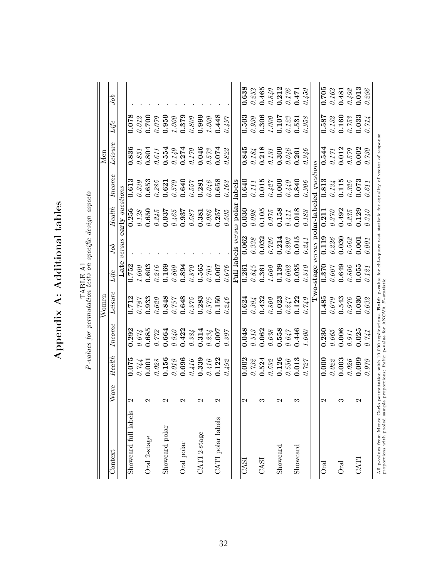|                                                                                                                                                                                                                                         |                        |                   |                               | Women     |           |           |                          |                                                  | Men              |                                |                  |
|-----------------------------------------------------------------------------------------------------------------------------------------------------------------------------------------------------------------------------------------|------------------------|-------------------|-------------------------------|-----------|-----------|-----------|--------------------------|--------------------------------------------------|------------------|--------------------------------|------------------|
| Context                                                                                                                                                                                                                                 | Wave                   | Health            | Income                        | Leisure   | Life      | sop       | Health                   | ncom                                             | Leisure          | Life                           | oo               |
|                                                                                                                                                                                                                                         |                        |                   |                               |           | Late      | versus    | early questions          |                                                  |                  |                                |                  |
| Showcard full labels                                                                                                                                                                                                                    | $\mathbf{\mathcal{C}}$ | 0.075             | 0.292                         | 0.712     | 0.752     |           | 0.256                    | 0.613                                            | 0.836            | 0.078                          |                  |
|                                                                                                                                                                                                                                         |                        | 0.744             | $0.074\,$                     | $0.787\,$ | $1.000\,$ |           | $0.128$                  | 0.339                                            | $0.851\,$        | $0.01\text{\AA}$               |                  |
| Oral 2-stage                                                                                                                                                                                                                            | N                      | 0.001             | 0.685                         | 0.933     | 0.603     |           | 0.650                    | 0.653                                            | 0.804            | 0.700                          |                  |
|                                                                                                                                                                                                                                         |                        | $0.028\,$         | $0.77\%$                      | 0.620     | 0.216     |           | 0.245                    | $0.285\,$                                        | $0.611\,$        | 0.079                          |                  |
| Showcard polar                                                                                                                                                                                                                          | $\sim$                 | 0.156             | 0.664                         | 0.848     | 0.169     |           | 0.937                    | 0.621                                            | 0.554            | 0.959                          |                  |
|                                                                                                                                                                                                                                         |                        | $0.019\,$         | $0.940\,$                     | 0.757     | 0.809     |           | $0.465\,$                | $0.570\,$                                        | $0.149$          | 1.000                          |                  |
| Oral polar                                                                                                                                                                                                                              | N                      | 0.696             |                               | 0.648     | 0.894     |           | 0.937                    | 0.640                                            | 0.274            | 0.379                          |                  |
|                                                                                                                                                                                                                                         |                        | $0.416\,$         | $0.422$<br>$0.384$<br>$0.314$ | $0.375\,$ | 0.870     |           | 0.587                    | 0.557                                            | $0.170\,$        | 0.809                          |                  |
| CATI 2-stage                                                                                                                                                                                                                            | N                      | 0.339             |                               | 0.283     | 0.565     |           | 0.381                    | 0.281                                            | 0.046            | 0.999                          |                  |
|                                                                                                                                                                                                                                         |                        | $0.410\,$         |                               | $0.575\,$ | 0.701     |           | 0.086                    | 0.046                                            |                  | 000                            |                  |
| CATI polar labels                                                                                                                                                                                                                       | $\mathbf{\sim}$        | 0.122             | $0.234$ 0.007                 | 0.150     | 0.067     |           | 0.257                    | 0.658                                            | $0.573$<br>0.074 | 0.448                          |                  |
|                                                                                                                                                                                                                                         |                        | 0.492             | 0.397                         | 0.246     | 0.076     |           | $0.505\,$                | $0.163\,$                                        | $0.822\,$        | 0.497                          |                  |
|                                                                                                                                                                                                                                         |                        |                   |                               |           |           |           | Full labels versus polar | labels                                           |                  |                                |                  |
| CASI                                                                                                                                                                                                                                    | 2                      | 0.002             | 0.048                         | 0.624     | 0.261     | 0.062     | $\overline{0.030}$       | 0.640                                            | 0.845            | 0.503                          | 0.638            |
|                                                                                                                                                                                                                                         |                        | $0.732\,$         | $0.51\beta$                   | 0.394     | $0.845$   | $0.338\,$ | $0.098\,$                | $0.111$                                          | $0.184\,$        | $0.939\,$                      | $0.25\%$         |
| CASI                                                                                                                                                                                                                                    | ಌ                      | 0.524             | 0.062                         | 0.432     | 0.361     | 0.032     | 0.105                    | 0.015                                            | 0.218            | 0.306                          | 0.465            |
|                                                                                                                                                                                                                                         |                        | $0.53\mathrm{\%}$ | $0.038\,$                     | $0.800\,$ | 1.000     | $0.726\,$ | $0.075\,$                | $0.427$                                          | $0.131\,$        | $1.000\,$                      | $0.840\,$        |
| Showcard                                                                                                                                                                                                                                | N                      | 0.126             | 0.558                         | 0.023     | 0.139     | 0.214     | 0.158                    | 0.009                                            | 0.309            | 0.107                          | 0.212            |
|                                                                                                                                                                                                                                         |                        | 0.550             | $0.047$                       | $0.247\,$ | 0.002     | $0.293\,$ | $0.411$                  | 0.440                                            | 0.046            | 0.123                          | $0.176$          |
| $S$ howcard                                                                                                                                                                                                                             | ొ                      | 0.013             | 0.446                         | 0.122     | 0.035     | 0.015     | 0.018                    | 0.840                                            | 0.261            | 0.531                          | 0.471            |
|                                                                                                                                                                                                                                         |                        | 0.727             | 1.000                         | 0.749     | $0.310\,$ | 0.241     | 0.183                    | $0.906\,$                                        | $0.946$          | $0.958\,$                      | 0.450            |
|                                                                                                                                                                                                                                         |                        |                   |                               |           | Two-stage |           |                          | versus polar-labeled questions                   |                  |                                |                  |
| Oral                                                                                                                                                                                                                                    | N                      | 0.000             | 0.230                         | 0.485     | 0.370     | 0.119     | 0.211                    | 0.813                                            | 0.544            | 0.587                          | $\frac{62}{105}$ |
|                                                                                                                                                                                                                                         |                        | $0.022$           | $0.065\,$                     | 0.079     | 0.007     | 0.226     | 0.370                    |                                                  | 0.171            | $0.13\ensuremath{\mathcal{Z}}$ | $0.16\%$         |
| Oral                                                                                                                                                                                                                                    | ౧                      | 0.003             | 0.006                         | 0.543     | 0.649     | 0.030     | 0.492                    | $\begin{array}{c} 0.134 \\ \bf0.115 \end{array}$ | 0.012            | 0.160                          | 0.481            |
|                                                                                                                                                                                                                                         |                        | $0.026\,$         | $0.911\,$                     | 0.976     | $0.806\,$ | $0.56\%$  | $0.235\,$                | 0.325                                            | $0.579\,$        | $0.75\%$                       | $0.492$          |
| CATI                                                                                                                                                                                                                                    | N                      | 0.099             | 0.025                         | 0.030     | 0.055     | 0.001     | 0.129                    | 0.073                                            | 0.002            | 0.033                          | 0.013            |
|                                                                                                                                                                                                                                         |                        | 0.979             | 0.741                         | 0.032     | 0.121     | 0.001     | 0.340                    | 0.611                                            | 0.730            | 0.714                          | 0.296            |
| All p-values from Monte Carlo permutation with 10,000 replications. Bold: p-value for chi-square test statistic for equality of vector of response<br>proportions with pooled sample proportions; <i>Italic</i> : p-value for ANOVA F-s |                        |                   |                               |           |           |           |                          |                                                  |                  |                                |                  |

proportions with pooled sample proportions; Italic: p-value for ANOVA F −statistic

TABLE A1

Appendix A: Additional tables

Appendix A: Additional tables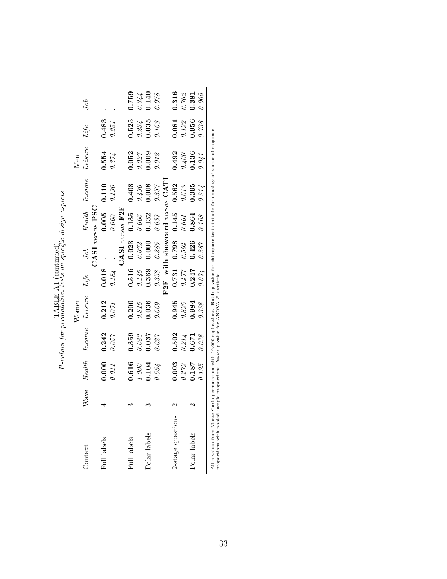|                   |      |                                                        |                  | Women            |                                 |                    |                            |           | Men                       |                                                           |                           |
|-------------------|------|--------------------------------------------------------|------------------|------------------|---------------------------------|--------------------|----------------------------|-----------|---------------------------|-----------------------------------------------------------|---------------------------|
| Context           | Wave | Health                                                 | Income           | Leisure          | Life                            | Job                | Health                     | Income    | Leisure                   | Life                                                      | Jоb                       |
|                   |      |                                                        |                  |                  |                                 |                    | $\texttt{CASI}$ versus PSC |           |                           |                                                           |                           |
| Full labels       |      | 0.000                                                  | 0.242            | 0.212            | 0.018                           |                    | 0.005                      | 0.110     | 0.554                     | 0.483                                                     |                           |
|                   |      | 0.011                                                  | $0.057$          | $0.071$          | $0.184\,$                       |                    | $0.000$                    | $0.190\,$ | 0.374                     | $0.251\,$                                                 |                           |
|                   |      |                                                        |                  |                  |                                 |                    | $CASI$ versus $F2F$        |           |                           |                                                           |                           |
| Full labels       |      | 0.616                                                  | 0.359            | 0.200            |                                 | 0.023              | 0.135                      | 0.408     | 0.052                     |                                                           | 0.759                     |
|                   |      | $\begin{array}{c} 1.000 \\ 0.104 \\ 0.554 \end{array}$ | $0.083$<br>0.037 | $0.816$<br>0.036 | $0.516$<br>0.146<br>0.369       | $0.07\!\mathbb{Z}$ | $0.006$<br>0.132<br>0.037  | $0.490$   | $0.027$<br>0.009          | $\begin{array}{c} 0.525\ 0.234\ 0.035\ 0.163 \end{array}$ |                           |
| Polar labels      |      |                                                        |                  |                  |                                 | 0.000              |                            | 0.008     |                           |                                                           | $0.344$<br>0.140<br>0.078 |
|                   |      |                                                        | $0.027$          | 0.669            | $0.358\,$                       | $0.285\,$          |                            | $0.357\,$ | 0.012                     |                                                           |                           |
|                   |      |                                                        |                  |                  | F2F with showcard versus $CATI$ |                    |                            |           |                           |                                                           |                           |
| 2-stage questions |      | 0.003                                                  | 0.502            | 0.945            |                                 | 0.798              | 0.145                      | 0.562     | 0.492                     | 0.081                                                     | 0.316                     |
|                   |      | $0.279$ 0.187                                          | $0.814$<br>0.671 | $0.895$<br>0.984 | $0.731$<br>$0.477$<br>$0.247$   | $0.594$<br>0.426   | $0.661\,$                  | $0.613\,$ | $0.400$<br>0.136<br>0.041 | $0.192$<br>0.956                                          | $\frac{0.762}{0.381}$     |
| Polar labels      |      |                                                        |                  |                  |                                 |                    | 0.864                      | 0.395     |                           |                                                           |                           |
|                   |      | 0.125                                                  | 0.038            | 0.328            | 0.074                           | $0.287$            | $0.108\,$                  | 0.214     |                           | 0.738                                                     | 0.009                     |
|                   |      |                                                        |                  |                  |                                 |                    |                            |           |                           |                                                           |                           |

 $\label{eq:1} \mbox{PABLE}$  <br> $P\mbox{-values}$  for permutation tests on specific design aspects  $P$ -values for permutation tests on specific design aspects TABLE A1 (continued)

All p-values from Monte Carlo permutation with 10,000 replications. **Bold**: p-value for chi-square test statistic for equality of vector of response proportions with pooled sample proportions; *Italic*: p-value for ANOVA All p-values from Monte Carlo permutation with 10,000 replications. Bold: p-value for chi-square test statistic for equality of vector of response proportions with pooled sample proportions; Italic: p-value for ANOVA F −statistic